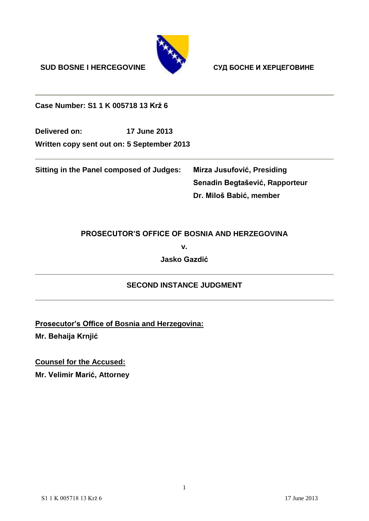**SUD BOSNE I HERCEGOVINE СУД БОСНЕ И ХЕРЦЕГОВИНЕ**



**Case Number: S1 1 K 005718 13 Krž 6**

**Delivered on: 17 June 2013 Written copy sent out on: 5 September 2013**

**Sitting in the Panel composed of Judges: Mirza Jusufović, Presiding**

**Senadin Begtašević, Rapporteur Dr. Miloš Babić, member**

### **PROSECUTOR'S OFFICE OF BOSNIA AND HERZEGOVINA**

**v.**

**Jasko Gazdić**

### **SECOND INSTANCE JUDGMENT**

**Prosecutor's Office of Bosnia and Herzegovina:**

**Mr. Behaija Krnjić**

**Counsel for the Accused:** 

**Mr. Velimir Marić, Attorney**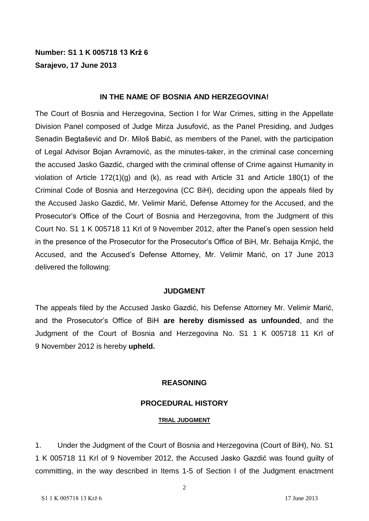### **Number: S1 1 K 005718 13 Krž 6 Sarajevo, 17 June 2013**

#### **IN THE NAME OF BOSNIA AND HERZEGOVINA!**

The Court of Bosnia and Herzegovina, Section I for War Crimes, sitting in the Appellate Division Panel composed of Judge Mirza Jusufović, as the Panel Presiding, and Judges Senadin Begtašević and Dr. Miloš Babić, as members of the Panel, with the participation of Legal Advisor Bojan Avramović, as the minutes-taker, in the criminal case concerning the accused Jasko Gazdić, charged with the criminal offense of Crime against Humanity in violation of Article 172(1)(g) and (k), as read with Article 31 and Article 180(1) of the Criminal Code of Bosnia and Herzegovina (CC BiH), deciding upon the appeals filed by the Accused Jasko Gazdić, Mr. Velimir Marić, Defense Attorney for the Accused, and the Prosecutor's Office of the Court of Bosnia and Herzegovina, from the Judgment of this Court No. S1 1 K 005718 11 Krl of 9 November 2012, after the Panel's open session held in the presence of the Prosecutor for the Prosecutor's Office of BiH, Mr. Behaija Krnjić, the Accused, and the Accused's Defense Attorney, Mr. Velimir Marić, on 17 June 2013 delivered the following:

#### **JUDGMENT**

The appeals filed by the Accused Jasko Gazdić, his Defense Attorney Mr. Velimir Marić, and the Prosecutor's Office of BiH **are hereby dismissed as unfounded**, and the Judgment of the Court of Bosnia and Herzegovina No. S1 1 K 005718 11 Krl of 9 November 2012 is hereby **upheld.**

#### **REASONING**

#### **PROCEDURAL HISTORY**

#### **TRIAL JUDGMENT**

1. Under the Judgment of the Court of Bosnia and Herzegovina (Court of BiH), No. S1 1 K 005718 11 Krl of 9 November 2012, the Accused Jasko Gazdić was found guilty of committing, in the way described in Items 1-5 of Section I of the Judgment enactment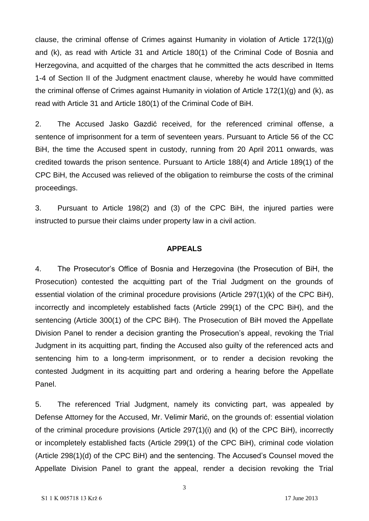clause, the criminal offense of Crimes against Humanity in violation of Article 172(1)(g) and (k), as read with Article 31 and Article 180(1) of the Criminal Code of Bosnia and Herzegovina, and acquitted of the charges that he committed the acts described in Items 1-4 of Section II of the Judgment enactment clause, whereby he would have committed the criminal offense of Crimes against Humanity in violation of Article 172(1)(g) and (k), as read with Article 31 and Article 180(1) of the Criminal Code of BiH.

2. The Accused Jasko Gazdić received, for the referenced criminal offense, a sentence of imprisonment for a term of seventeen years. Pursuant to Article 56 of the CC BiH, the time the Accused spent in custody, running from 20 April 2011 onwards, was credited towards the prison sentence. Pursuant to Article 188(4) and Article 189(1) of the CPC BiH, the Accused was relieved of the obligation to reimburse the costs of the criminal proceedings.

3. Pursuant to Article 198(2) and (3) of the CPC BiH, the injured parties were instructed to pursue their claims under property law in a civil action.

#### **APPEALS**

4. The Prosecutor's Office of Bosnia and Herzegovina (the Prosecution of BiH, the Prosecution) contested the acquitting part of the Trial Judgment on the grounds of essential violation of the criminal procedure provisions (Article 297(1)(k) of the CPC BiH), incorrectly and incompletely established facts (Article 299(1) of the CPC BiH), and the sentencing (Article 300(1) of the CPC BiH). The Prosecution of BiH moved the Appellate Division Panel to render a decision granting the Prosecution's appeal, revoking the Trial Judgment in its acquitting part, finding the Accused also guilty of the referenced acts and sentencing him to a long-term imprisonment, or to render a decision revoking the contested Judgment in its acquitting part and ordering a hearing before the Appellate Panel.

5. The referenced Trial Judgment, namely its convicting part, was appealed by Defense Attorney for the Accused, Mr. Velimir Marić, on the grounds of: essential violation of the criminal procedure provisions (Article 297(1)(i) and (k) of the CPC BiH), incorrectly or incompletely established facts (Article 299(1) of the CPC BiH), criminal code violation (Article 298(1)(d) of the CPC BiH) and the sentencing. The Accused's Counsel moved the Appellate Division Panel to grant the appeal, render a decision revoking the Trial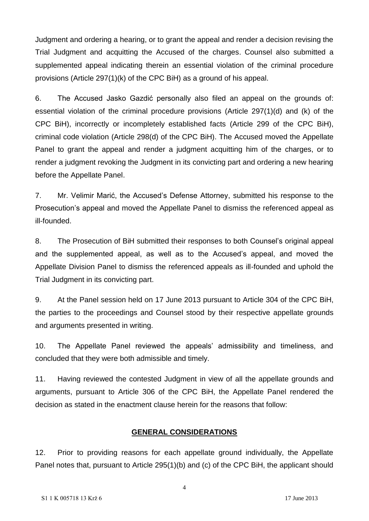Judgment and ordering a hearing, or to grant the appeal and render a decision revising the Trial Judgment and acquitting the Accused of the charges. Counsel also submitted a supplemented appeal indicating therein an essential violation of the criminal procedure provisions (Article 297(1)(k) of the CPC BiH) as a ground of his appeal.

6. The Accused Jasko Gazdić personally also filed an appeal on the grounds of: essential violation of the criminal procedure provisions (Article 297(1)(d) and (k) of the CPC BiH), incorrectly or incompletely established facts (Article 299 of the CPC BiH), criminal code violation (Article 298(d) of the CPC BiH). The Accused moved the Appellate Panel to grant the appeal and render a judgment acquitting him of the charges, or to render a judgment revoking the Judgment in its convicting part and ordering a new hearing before the Appellate Panel.

7. Mr. Velimir Marić, the Accused's Defense Attorney, submitted his response to the Prosecution's appeal and moved the Appellate Panel to dismiss the referenced appeal as ill-founded.

8. The Prosecution of BiH submitted their responses to both Counsel's original appeal and the supplemented appeal, as well as to the Accused's appeal, and moved the Appellate Division Panel to dismiss the referenced appeals as ill-founded and uphold the Trial Judgment in its convicting part.

9. At the Panel session held on 17 June 2013 pursuant to Article 304 of the CPC BiH, the parties to the proceedings and Counsel stood by their respective appellate grounds and arguments presented in writing.

10. The Appellate Panel reviewed the appeals' admissibility and timeliness, and concluded that they were both admissible and timely.

11. Having reviewed the contested Judgment in view of all the appellate grounds and arguments, pursuant to Article 306 of the CPC BiH, the Appellate Panel rendered the decision as stated in the enactment clause herein for the reasons that follow:

### **GENERAL CONSIDERATIONS**

12. Prior to providing reasons for each appellate ground individually, the Appellate Panel notes that, pursuant to Article 295(1)(b) and (c) of the CPC BiH, the applicant should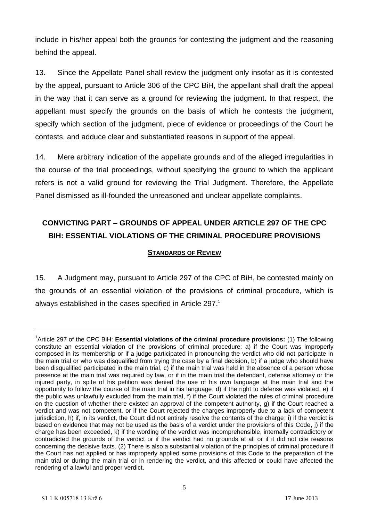include in his/her appeal both the grounds for contesting the judgment and the reasoning behind the appeal.

13. Since the Appellate Panel shall review the judgment only insofar as it is contested by the appeal, pursuant to Article 306 of the CPC BiH, the appellant shall draft the appeal in the way that it can serve as a ground for reviewing the judgment. In that respect, the appellant must specify the grounds on the basis of which he contests the judgment, specify which section of the judgment, piece of evidence or proceedings of the Court he contests, and adduce clear and substantiated reasons in support of the appeal.

14. Mere arbitrary indication of the appellate grounds and of the alleged irregularities in the course of the trial proceedings, without specifying the ground to which the applicant refers is not a valid ground for reviewing the Trial Judgment. Therefore, the Appellate Panel dismissed as ill-founded the unreasoned and unclear appellate complaints.

# **CONVICTING PART – GROUNDS OF APPEAL UNDER ARTICLE 297 OF THE CPC BIH: ESSENTIAL VIOLATIONS OF THE CRIMINAL PROCEDURE PROVISIONS**

#### **STANDARDS OF REVIEW**

15. A Judgment may, pursuant to Article 297 of the CPC of BiH, be contested mainly on the grounds of an essential violation of the provisions of criminal procedure, which is always established in the cases specified in Article 297. 1

<sup>&</sup>lt;sup>1</sup> Article 297 of the CPC BiH: Essential violations of the criminal procedure provisions: (1) The following constitute an essential violation of the provisions of criminal procedure: a) if the Court was improperly composed in its membership or if a judge participated in pronouncing the verdict who did not participate in the main trial or who was disqualified from trying the case by a final decision, b) if a judge who should have been disqualified participated in the main trial, c) if the main trial was held in the absence of a person whose presence at the main trial was required by law, or if in the main trial the defendant, defense attorney or the injured party, in spite of his petition was denied the use of his own language at the main trial and the opportunity to follow the course of the main trial in his language, d) if the right to defense was violated, e) if the public was unlawfully excluded from the main trial, f) if the Court violated the rules of criminal procedure on the question of whether there existed an approval of the competent authority, g) if the Court reached a verdict and was not competent, or if the Court rejected the charges improperly due to a lack of competent jurisdiction, h) if, in its verdict, the Court did not entirely resolve the contents of the charge; i) if the verdict is based on evidence that may not be used as the basis of a verdict under the provisions of this Code, j) if the charge has been exceeded, k) if the wording of the verdict was incomprehensible, internally contradictory or contradicted the grounds of the verdict or if the verdict had no grounds at all or if it did not cite reasons concerning the decisive facts. (2) There is also a substantial violation of the principles of criminal procedure if the Court has not applied or has improperly applied some provisions of this Code to the preparation of the main trial or during the main trial or in rendering the verdict, and this affected or could have affected the rendering of a lawful and proper verdict.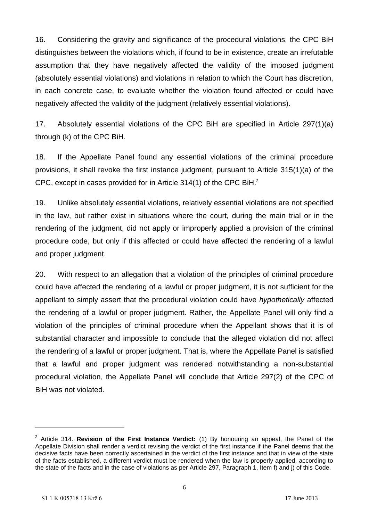16. Considering the gravity and significance of the procedural violations, the CPC BiH distinguishes between the violations which, if found to be in existence, create an irrefutable assumption that they have negatively affected the validity of the imposed judgment (absolutely essential violations) and violations in relation to which the Court has discretion, in each concrete case, to evaluate whether the violation found affected or could have negatively affected the validity of the judgment (relatively essential violations).

17. Absolutely essential violations of the CPC BiH are specified in Article 297(1)(a) through (k) of the CPC BiH.

18. If the Appellate Panel found any essential violations of the criminal procedure provisions, it shall revoke the first instance judgment, pursuant to Article 315(1)(a) of the CPC, except in cases provided for in Article  $314(1)$  of the CPC BiH.<sup>2</sup>

19. Unlike absolutely essential violations, relatively essential violations are not specified in the law, but rather exist in situations where the court, during the main trial or in the rendering of the judgment, did not apply or improperly applied a provision of the criminal procedure code, but only if this affected or could have affected the rendering of a lawful and proper judgment.

20. With respect to an allegation that a violation of the principles of criminal procedure could have affected the rendering of a lawful or proper judgment, it is not sufficient for the appellant to simply assert that the procedural violation could have *hypothetically* affected the rendering of a lawful or proper judgment. Rather, the Appellate Panel will only find a violation of the principles of criminal procedure when the Appellant shows that it is of substantial character and impossible to conclude that the alleged violation did not affect the rendering of a lawful or proper judgment. That is, where the Appellate Panel is satisfied that a lawful and proper judgment was rendered notwithstanding a non-substantial procedural violation, the Appellate Panel will conclude that Article 297(2) of the CPC of BiH was not violated.

<sup>&</sup>lt;sup>2</sup> Article 314. **Revision of the First Instance Verdict:** (1) By honouring an appeal, the Panel of the Appellate Division shall render a verdict revising the verdict of the first instance if the Panel deems that the decisive facts have been correctly ascertained in the verdict of the first instance and that in view of the state of the facts established, a different verdict must be rendered when the law is properly applied, according to the state of the facts and in the case of violations as per Article 297, Paragraph 1, Item f) and j) of this Code.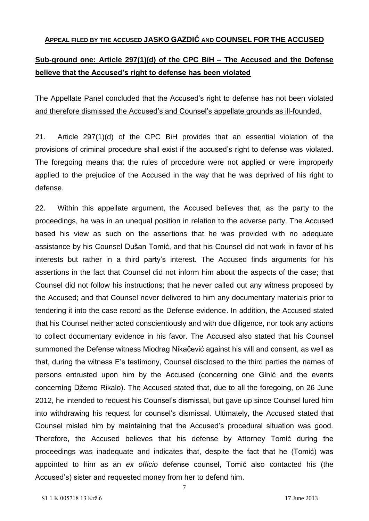#### **APPEAL FILED BY THE ACCUSED JASKO GAZDIĆ AND COUNSEL FOR THE ACCUSED**

### **Sub-ground one: Article 297(1)(d) of the CPC BiH – The Accused and the Defense believe that the Accused's right to defense has been violated**

The Appellate Panel concluded that the Accused's right to defense has not been violated and therefore dismissed the Accused's and Counsel's appellate grounds as ill-founded.

21. Article 297(1)(d) of the CPC BiH provides that an essential violation of the provisions of criminal procedure shall exist if the accused's right to defense was violated. The foregoing means that the rules of procedure were not applied or were improperly applied to the prejudice of the Accused in the way that he was deprived of his right to defense.

22. Within this appellate argument, the Accused believes that, as the party to the proceedings, he was in an unequal position in relation to the adverse party. The Accused based his view as such on the assertions that he was provided with no adequate assistance by his Counsel Dušan Tomić, and that his Counsel did not work in favor of his interests but rather in a third party's interest. The Accused finds arguments for his assertions in the fact that Counsel did not inform him about the aspects of the case; that Counsel did not follow his instructions; that he never called out any witness proposed by the Accused; and that Counsel never delivered to him any documentary materials prior to tendering it into the case record as the Defense evidence. In addition, the Accused stated that his Counsel neither acted conscientiously and with due diligence, nor took any actions to collect documentary evidence in his favor. The Accused also stated that his Counsel summoned the Defense witness Miodrag Nikačević against his will and consent, as well as that, during the witness E's testimony, Counsel disclosed to the third parties the names of persons entrusted upon him by the Accused (concerning one Ginić and the events concerning Džemo Rikalo). The Accused stated that, due to all the foregoing, on 26 June 2012, he intended to request his Counsel's dismissal, but gave up since Counsel lured him into withdrawing his request for counsel's dismissal. Ultimately, the Accused stated that Counsel misled him by maintaining that the Accused's procedural situation was good. Therefore, the Accused believes that his defense by Attorney Tomić during the proceedings was inadequate and indicates that, despite the fact that he (Tomić) was appointed to him as an *ex officio* defense counsel, Tomić also contacted his (the Accused's) sister and requested money from her to defend him.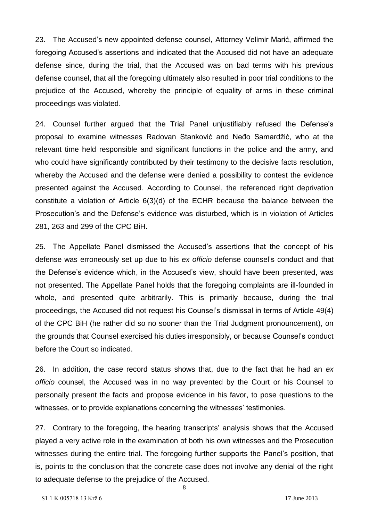23. The Accused's new appointed defense counsel, Attorney Velimir Marić, affirmed the foregoing Accused's assertions and indicated that the Accused did not have an adequate defense since, during the trial, that the Accused was on bad terms with his previous defense counsel, that all the foregoing ultimately also resulted in poor trial conditions to the prejudice of the Accused, whereby the principle of equality of arms in these criminal proceedings was violated.

24. Counsel further argued that the Trial Panel unjustifiably refused the Defense's proposal to examine witnesses Radovan Stanković and Neđo Samardžić, who at the relevant time held responsible and significant functions in the police and the army, and who could have significantly contributed by their testimony to the decisive facts resolution, whereby the Accused and the defense were denied a possibility to contest the evidence presented against the Accused. According to Counsel, the referenced right deprivation constitute a violation of Article 6(3)(d) of the ECHR because the balance between the Prosecution's and the Defense's evidence was disturbed, which is in violation of Articles 281, 263 and 299 of the CPC BiH.

25. The Appellate Panel dismissed the Accused's assertions that the concept of his defense was erroneously set up due to his *ex officio* defense counsel's conduct and that the Defense's evidence which, in the Accused's view, should have been presented, was not presented. The Appellate Panel holds that the foregoing complaints are ill-founded in whole, and presented quite arbitrarily. This is primarily because, during the trial proceedings, the Accused did not request his Counsel's dismissal in terms of Article 49(4) of the CPC BiH (he rather did so no sooner than the Trial Judgment pronouncement), on the grounds that Counsel exercised his duties irresponsibly, or because Counsel's conduct before the Court so indicated.

26. In addition, the case record status shows that, due to the fact that he had an *ex officio* counsel, the Accused was in no way prevented by the Court or his Counsel to personally present the facts and propose evidence in his favor, to pose questions to the witnesses, or to provide explanations concerning the witnesses' testimonies.

27. Contrary to the foregoing, the hearing transcripts' analysis shows that the Accused played a very active role in the examination of both his own witnesses and the Prosecution witnesses during the entire trial. The foregoing further supports the Panel's position, that is, points to the conclusion that the concrete case does not involve any denial of the right to adequate defense to the prejudice of the Accused.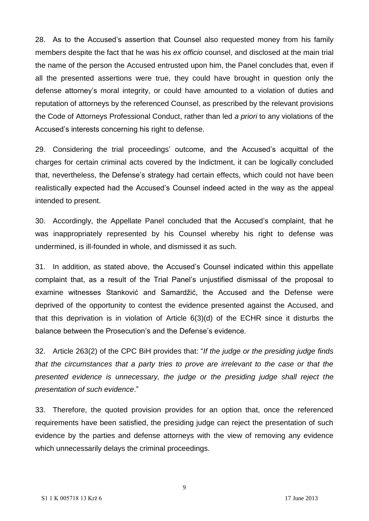28. As to the Accused's assertion that Counsel also requested money from his family members despite the fact that he was his *ex officio* counsel, and disclosed at the main trial the name of the person the Accused entrusted upon him, the Panel concludes that, even if all the presented assertions were true, they could have brought in question only the defense attorney's moral integrity, or could have amounted to a violation of duties and reputation of attorneys by the referenced Counsel, as prescribed by the relevant provisions the Code of Attorneys Professional Conduct, rather than led *a priori* to any violations of the Accused's interests concerning his right to defense.

29. Considering the trial proceedings' outcome, and the Accused's acquittal of the charges for certain criminal acts covered by the Indictment, it can be logically concluded that, nevertheless, the Defense's strategy had certain effects, which could not have been realistically expected had the Accused's Counsel indeed acted in the way as the appeal intended to present.

30. Accordingly, the Appellate Panel concluded that the Accused's complaint, that he was inappropriately represented by his Counsel whereby his right to defense was undermined, is ill-founded in whole, and dismissed it as such.

31. In addition, as stated above, the Accused's Counsel indicated within this appellate complaint that, as a result of the Trial Panel's unjustified dismissal of the proposal to examine witnesses Stanković and Samardžić, the Accused and the Defense were deprived of the opportunity to contest the evidence presented against the Accused, and that this deprivation is in violation of Article 6(3)(d) of the ECHR since it disturbs the balance between the Prosecution's and the Defense's evidence.

32. Article 263(2) of the CPC BiH provides that: "*If the judge or the presiding judge finds that the circumstances that a party tries to prove are irrelevant to the case or that the presented evidence is unnecessary, the judge or the presiding judge shall reject the presentation of such evidence*."

33. Therefore, the quoted provision provides for an option that, once the referenced requirements have been satisfied, the presiding judge can reject the presentation of such evidence by the parties and defense attorneys with the view of removing any evidence which unnecessarily delays the criminal proceedings.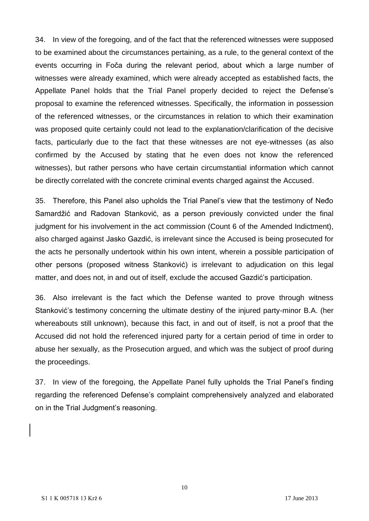34. In view of the foregoing, and of the fact that the referenced witnesses were supposed to be examined about the circumstances pertaining, as a rule, to the general context of the events occurring in Foča during the relevant period, about which a large number of witnesses were already examined, which were already accepted as established facts, the Appellate Panel holds that the Trial Panel properly decided to reject the Defense's proposal to examine the referenced witnesses. Specifically, the information in possession of the referenced witnesses, or the circumstances in relation to which their examination was proposed quite certainly could not lead to the explanation/clarification of the decisive facts, particularly due to the fact that these witnesses are not eye-witnesses (as also confirmed by the Accused by stating that he even does not know the referenced witnesses), but rather persons who have certain circumstantial information which cannot be directly correlated with the concrete criminal events charged against the Accused.

35. Therefore, this Panel also upholds the Trial Panel's view that the testimony of Neđo Samardžić and Radovan Stanković, as a person previously convicted under the final judgment for his involvement in the act commission (Count 6 of the Amended Indictment), also charged against Jasko Gazdić, is irrelevant since the Accused is being prosecuted for the acts he personally undertook within his own intent, wherein a possible participation of other persons (proposed witness Stanković) is irrelevant to adjudication on this legal matter, and does not, in and out of itself, exclude the accused Gazdić's participation.

36. Also irrelevant is the fact which the Defense wanted to prove through witness Stanković's testimony concerning the ultimate destiny of the injured party-minor B.A. (her whereabouts still unknown), because this fact, in and out of itself, is not a proof that the Accused did not hold the referenced injured party for a certain period of time in order to abuse her sexually, as the Prosecution argued, and which was the subject of proof during the proceedings.

37. In view of the foregoing, the Appellate Panel fully upholds the Trial Panel's finding regarding the referenced Defense's complaint comprehensively analyzed and elaborated on in the Trial Judgment's reasoning.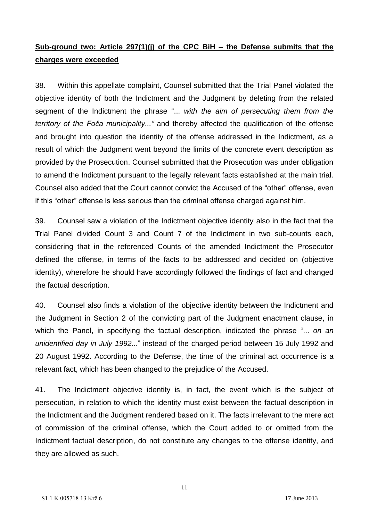### **Sub-ground two: Article 297(1)(j) of the CPC BiH – the Defense submits that the charges were exceeded**

38. Within this appellate complaint, Counsel submitted that the Trial Panel violated the objective identity of both the Indictment and the Judgment by deleting from the related segment of the Indictment the phrase "... *with the aim of persecuting them from the territory of the Foča municipality..."* and thereby affected the qualification of the offense and brought into question the identity of the offense addressed in the Indictment, as a result of which the Judgment went beyond the limits of the concrete event description as provided by the Prosecution. Counsel submitted that the Prosecution was under obligation to amend the Indictment pursuant to the legally relevant facts established at the main trial. Counsel also added that the Court cannot convict the Accused of the "other" offense, even if this "other" offense is less serious than the criminal offense charged against him.

39. Counsel saw a violation of the Indictment objective identity also in the fact that the Trial Panel divided Count 3 and Count 7 of the Indictment in two sub-counts each, considering that in the referenced Counts of the amended Indictment the Prosecutor defined the offense, in terms of the facts to be addressed and decided on (objective identity), wherefore he should have accordingly followed the findings of fact and changed the factual description.

40. Counsel also finds a violation of the objective identity between the Indictment and the Judgment in Section 2 of the convicting part of the Judgment enactment clause, in which the Panel, in specifying the factual description, indicated the phrase "... *on an unidentified day in July 1992*..." instead of the charged period between 15 July 1992 and 20 August 1992. According to the Defense, the time of the criminal act occurrence is a relevant fact, which has been changed to the prejudice of the Accused.

41. The Indictment objective identity is, in fact, the event which is the subject of persecution, in relation to which the identity must exist between the factual description in the Indictment and the Judgment rendered based on it. The facts irrelevant to the mere act of commission of the criminal offense, which the Court added to or omitted from the Indictment factual description, do not constitute any changes to the offense identity, and they are allowed as such.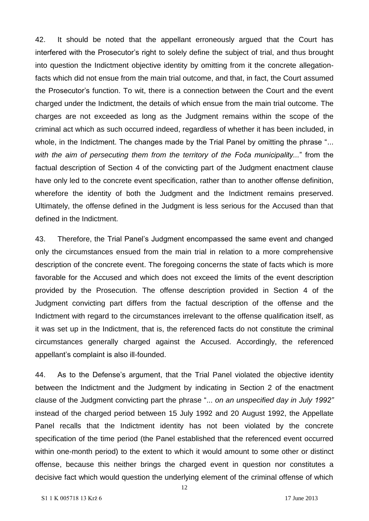42. It should be noted that the appellant erroneously argued that the Court has interfered with the Prosecutor's right to solely define the subject of trial, and thus brought into question the Indictment objective identity by omitting from it the concrete allegationfacts which did not ensue from the main trial outcome, and that, in fact, the Court assumed the Prosecutor's function. To wit, there is a connection between the Court and the event charged under the Indictment, the details of which ensue from the main trial outcome. The charges are not exceeded as long as the Judgment remains within the scope of the criminal act which as such occurred indeed, regardless of whether it has been included, in whole, in the Indictment. The changes made by the Trial Panel by omitting the phrase "... *with the aim of persecuting them from the territory of the Foča municipality...*" from the factual description of Section 4 of the convicting part of the Judgment enactment clause have only led to the concrete event specification, rather than to another offense definition, wherefore the identity of both the Judgment and the Indictment remains preserved. Ultimately, the offense defined in the Judgment is less serious for the Accused than that defined in the Indictment.

43. Therefore, the Trial Panel's Judgment encompassed the same event and changed only the circumstances ensued from the main trial in relation to a more comprehensive description of the concrete event. The foregoing concerns the state of facts which is more favorable for the Accused and which does not exceed the limits of the event description provided by the Prosecution. The offense description provided in Section 4 of the Judgment convicting part differs from the factual description of the offense and the Indictment with regard to the circumstances irrelevant to the offense qualification itself, as it was set up in the Indictment, that is, the referenced facts do not constitute the criminal circumstances generally charged against the Accused. Accordingly, the referenced appellant's complaint is also ill-founded.

44. As to the Defense's argument, that the Trial Panel violated the objective identity between the Indictment and the Judgment by indicating in Section 2 of the enactment clause of the Judgment convicting part the phrase "... *on an unspecified day in July 1992"*  instead of the charged period between 15 July 1992 and 20 August 1992, the Appellate Panel recalls that the Indictment identity has not been violated by the concrete specification of the time period (the Panel established that the referenced event occurred within one-month period) to the extent to which it would amount to some other or distinct offense, because this neither brings the charged event in question nor constitutes a decisive fact which would question the underlying element of the criminal offense of which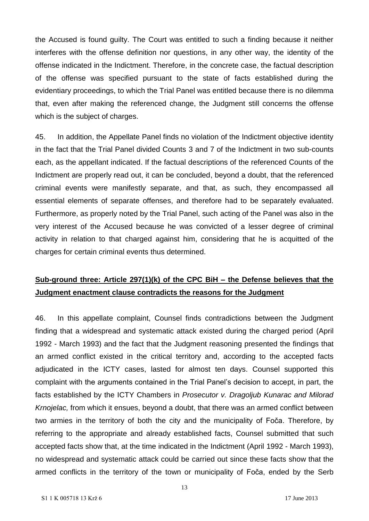the Accused is found guilty. The Court was entitled to such a finding because it neither interferes with the offense definition nor questions, in any other way, the identity of the offense indicated in the Indictment. Therefore, in the concrete case, the factual description of the offense was specified pursuant to the state of facts established during the evidentiary proceedings, to which the Trial Panel was entitled because there is no dilemma that, even after making the referenced change, the Judgment still concerns the offense which is the subject of charges.

45. In addition, the Appellate Panel finds no violation of the Indictment objective identity in the fact that the Trial Panel divided Counts 3 and 7 of the Indictment in two sub-counts each, as the appellant indicated. If the factual descriptions of the referenced Counts of the Indictment are properly read out, it can be concluded, beyond a doubt, that the referenced criminal events were manifestly separate, and that, as such, they encompassed all essential elements of separate offenses, and therefore had to be separately evaluated. Furthermore, as properly noted by the Trial Panel, such acting of the Panel was also in the very interest of the Accused because he was convicted of a lesser degree of criminal activity in relation to that charged against him, considering that he is acquitted of the charges for certain criminal events thus determined.

## **Sub-ground three: Article 297(1)(k) of the CPC BiH – the Defense believes that the Judgment enactment clause contradicts the reasons for the Judgment**

46. In this appellate complaint, Counsel finds contradictions between the Judgment finding that a widespread and systematic attack existed during the charged period (April 1992 - March 1993) and the fact that the Judgment reasoning presented the findings that an armed conflict existed in the critical territory and, according to the accepted facts adjudicated in the ICTY cases, lasted for almost ten days. Counsel supported this complaint with the arguments contained in the Trial Panel's decision to accept, in part, the facts established by the ICTY Chambers in *Prosecutor v. Dragoljub Kunarac and Milorad Krnojelac,* from which it ensues, beyond a doubt, that there was an armed conflict between two armies in the territory of both the city and the municipality of Foča. Therefore, by referring to the appropriate and already established facts, Counsel submitted that such accepted facts show that, at the time indicated in the Indictment (April 1992 - March 1993), no widespread and systematic attack could be carried out since these facts show that the armed conflicts in the territory of the town or municipality of Foča, ended by the Serb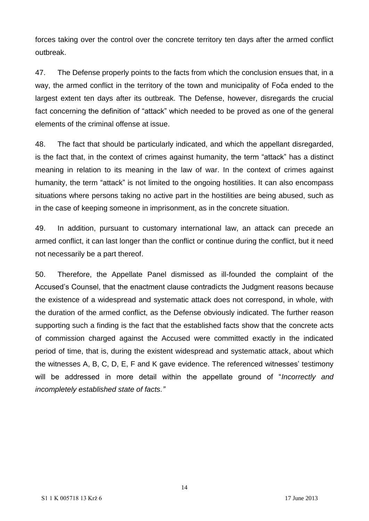forces taking over the control over the concrete territory ten days after the armed conflict outbreak.

47. The Defense properly points to the facts from which the conclusion ensues that, in a way, the armed conflict in the territory of the town and municipality of Foča ended to the largest extent ten days after its outbreak. The Defense, however, disregards the crucial fact concerning the definition of "attack" which needed to be proved as one of the general elements of the criminal offense at issue.

48. The fact that should be particularly indicated, and which the appellant disregarded, is the fact that, in the context of crimes against humanity, the term "attack" has a distinct meaning in relation to its meaning in the law of war. In the context of crimes against humanity, the term "attack" is not limited to the ongoing hostilities. It can also encompass situations where persons taking no active part in the hostilities are being abused, such as in the case of keeping someone in imprisonment, as in the concrete situation.

49. In addition, pursuant to customary international law, an attack can precede an armed conflict, it can last longer than the conflict or continue during the conflict, but it need not necessarily be a part thereof.

50. Therefore, the Appellate Panel dismissed as ill-founded the complaint of the Accused's Counsel, that the enactment clause contradicts the Judgment reasons because the existence of a widespread and systematic attack does not correspond, in whole, with the duration of the armed conflict, as the Defense obviously indicated. The further reason supporting such a finding is the fact that the established facts show that the concrete acts of commission charged against the Accused were committed exactly in the indicated period of time, that is, during the existent widespread and systematic attack, about which the witnesses A, B, C, D, E, F and K gave evidence. The referenced witnesses' testimony will be addressed in more detail within the appellate ground of "*Incorrectly and incompletely established state of facts."*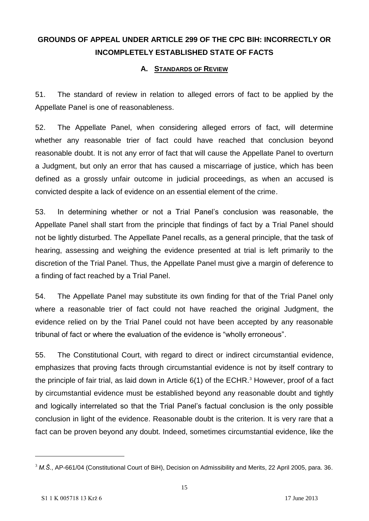# **GROUNDS OF APPEAL UNDER ARTICLE 299 OF THE CPC BIH: INCORRECTLY OR INCOMPLETELY ESTABLISHED STATE OF FACTS**

#### **A. STANDARDS OF REVIEW**

51. The standard of review in relation to alleged errors of fact to be applied by the Appellate Panel is one of reasonableness.

52. The Appellate Panel, when considering alleged errors of fact, will determine whether any reasonable trier of fact could have reached that conclusion beyond reasonable doubt. It is not any error of fact that will cause the Appellate Panel to overturn a Judgment, but only an error that has caused a miscarriage of justice, which has been defined as a grossly unfair outcome in judicial proceedings, as when an accused is convicted despite a lack of evidence on an essential element of the crime.

53. In determining whether or not a Trial Panel's conclusion was reasonable, the Appellate Panel shall start from the principle that findings of fact by a Trial Panel should not be lightly disturbed. The Appellate Panel recalls, as a general principle, that the task of hearing, assessing and weighing the evidence presented at trial is left primarily to the discretion of the Trial Panel. Thus, the Appellate Panel must give a margin of deference to a finding of fact reached by a Trial Panel.

54. The Appellate Panel may substitute its own finding for that of the Trial Panel only where a reasonable trier of fact could not have reached the original Judgment, the evidence relied on by the Trial Panel could not have been accepted by any reasonable tribunal of fact or where the evaluation of the evidence is "wholly erroneous".

55. The Constitutional Court, with regard to direct or indirect circumstantial evidence, emphasizes that proving facts through circumstantial evidence is not by itself contrary to the principle of fair trial, as laid down in Article  $6(1)$  of the ECHR.<sup>3</sup> However, proof of a fact by circumstantial evidence must be established beyond any reasonable doubt and tightly and logically interrelated so that the Trial Panel's factual conclusion is the only possible conclusion in light of the evidence. Reasonable doubt is the criterion. It is very rare that a fact can be proven beyond any doubt. Indeed, sometimes circumstantial evidence, like the

<sup>3</sup> *M.Š.*, AP-661/04 (Constitutional Court of BiH), Decision on Admissibility and Merits, 22 April 2005, para. 36.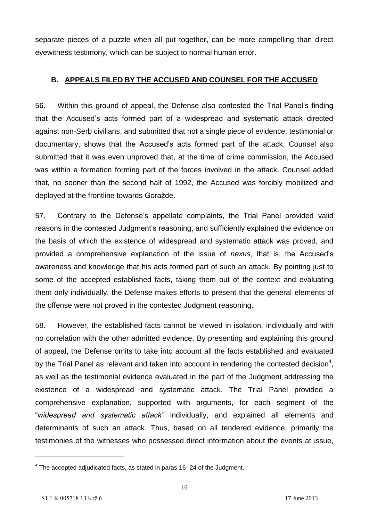separate pieces of a puzzle when all put together, can be more compelling than direct eyewitness testimony, which can be subject to normal human error.

### **B. APPEALS FILED BY THE ACCUSED AND COUNSEL FOR THE ACCUSED**

56. Within this ground of appeal, the Defense also contested the Trial Panel's finding that the Accused's acts formed part of a widespread and systematic attack directed against non-Serb civilians, and submitted that not a single piece of evidence, testimonial or documentary, shows that the Accused's acts formed part of the attack. Counsel also submitted that it was even unproved that, at the time of crime commission, the Accused was within a formation forming part of the forces involved in the attack. Counsel added that, no sooner than the second half of 1992, the Accused was forcibly mobilized and deployed at the frontline towards Goražde.

57. Contrary to the Defense's appellate complaints, the Trial Panel provided valid reasons in the contested Judgment's reasoning, and sufficiently explained the evidence on the basis of which the existence of widespread and systematic attack was proved, and provided a comprehensive explanation of the issue of *nexus*, that is, the Accused's awareness and knowledge that his acts formed part of such an attack. By pointing just to some of the accepted established facts, taking them out of the context and evaluating them only individually, the Defense makes efforts to present that the general elements of the offense were not proved in the contested Judgment reasoning.

58. However, the established facts cannot be viewed in isolation, individually and with no correlation with the other admitted evidence. By presenting and explaining this ground of appeal, the Defense omits to take into account all the facts established and evaluated by the Trial Panel as relevant and taken into account in rendering the contested decision<sup>4</sup>, as well as the testimonial evidence evaluated in the part of the Judgment addressing the existence of a widespread and systematic attack. The Trial Panel provided a comprehensive explanation, supported with arguments, for each segment of the "*widespread and systematic attack"* individually, and explained all elements and determinants of such an attack. Thus, based on all tendered evidence, primarily the testimonies of the witnesses who possessed direct information about the events at issue,

 $<sup>4</sup>$  The accepted adjudicated facts, as stated in paras.16- 24 of the Judgment.</sup>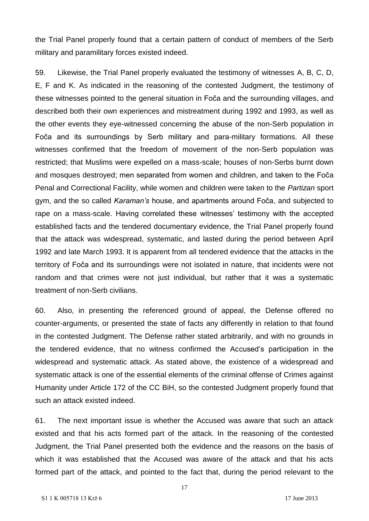the Trial Panel properly found that a certain pattern of conduct of members of the Serb military and paramilitary forces existed indeed.

59. Likewise, the Trial Panel properly evaluated the testimony of witnesses A, B, C, D, E, F and K. As indicated in the reasoning of the contested Judgment, the testimony of these witnesses pointed to the general situation in Foča and the surrounding villages, and described both their own experiences and mistreatment during 1992 and 1993, as well as the other events they eye-witnessed concerning the abuse of the non-Serb population in Foča and its surroundings by Serb military and para-military formations. All these witnesses confirmed that the freedom of movement of the non-Serb population was restricted; that Muslims were expelled on a mass-scale; houses of non-Serbs burnt down and mosques destroyed; men separated from women and children, and taken to the Foča Penal and Correctional Facility, while women and children were taken to the *Partizan* sport gym, and the so called *Karaman's* house, and apartments around Foča, and subjected to rape on a mass-scale. Having correlated these witnesses' testimony with the accepted established facts and the tendered documentary evidence, the Trial Panel properly found that the attack was widespread, systematic, and lasted during the period between April 1992 and late March 1993. It is apparent from all tendered evidence that the attacks in the territory of Foča and its surroundings were not isolated in nature, that incidents were not random and that crimes were not just individual, but rather that it was a systematic treatment of non-Serb civilians.

60. Also, in presenting the referenced ground of appeal, the Defense offered no counter-arguments, or presented the state of facts any differently in relation to that found in the contested Judgment. The Defense rather stated arbitrarily, and with no grounds in the tendered evidence, that no witness confirmed the Accused's participation in the widespread and systematic attack. As stated above, the existence of a widespread and systematic attack is one of the essential elements of the criminal offense of Crimes against Humanity under Article 172 of the CC BiH, so the contested Judgment properly found that such an attack existed indeed.

61. The next important issue is whether the Accused was aware that such an attack existed and that his acts formed part of the attack. In the reasoning of the contested Judgment, the Trial Panel presented both the evidence and the reasons on the basis of which it was established that the Accused was aware of the attack and that his acts formed part of the attack, and pointed to the fact that, during the period relevant to the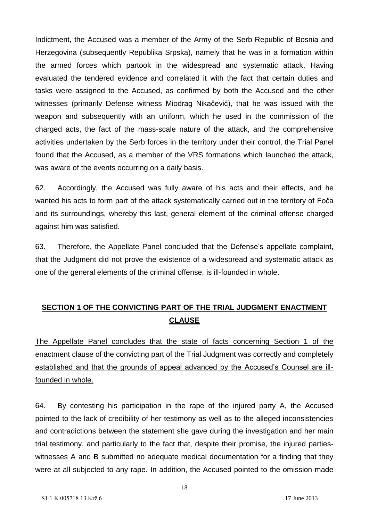Indictment, the Accused was a member of the Army of the Serb Republic of Bosnia and Herzegovina (subsequently Republika Srpska), namely that he was in a formation within the armed forces which partook in the widespread and systematic attack. Having evaluated the tendered evidence and correlated it with the fact that certain duties and tasks were assigned to the Accused, as confirmed by both the Accused and the other witnesses (primarily Defense witness Miodrag Nikačević), that he was issued with the weapon and subsequently with an uniform, which he used in the commission of the charged acts, the fact of the mass-scale nature of the attack, and the comprehensive activities undertaken by the Serb forces in the territory under their control, the Trial Panel found that the Accused, as a member of the VRS formations which launched the attack, was aware of the events occurring on a daily basis.

62. Accordingly, the Accused was fully aware of his acts and their effects, and he wanted his acts to form part of the attack systematically carried out in the territory of Foča and its surroundings, whereby this last, general element of the criminal offense charged against him was satisfied.

63. Therefore, the Appellate Panel concluded that the Defense's appellate complaint, that the Judgment did not prove the existence of a widespread and systematic attack as one of the general elements of the criminal offense, is ill-founded in whole.

## **SECTION 1 OF THE CONVICTING PART OF THE TRIAL JUDGMENT ENACTMENT CLAUSE**

The Appellate Panel concludes that the state of facts concerning Section 1 of the enactment clause of the convicting part of the Trial Judgment was correctly and completely established and that the grounds of appeal advanced by the Accused's Counsel are illfounded in whole.

64. By contesting his participation in the rape of the injured party A, the Accused pointed to the lack of credibility of her testimony as well as to the alleged inconsistencies and contradictions between the statement she gave during the investigation and her main trial testimony, and particularly to the fact that, despite their promise, the injured partieswitnesses A and B submitted no adequate medical documentation for a finding that they were at all subjected to any rape. In addition, the Accused pointed to the omission made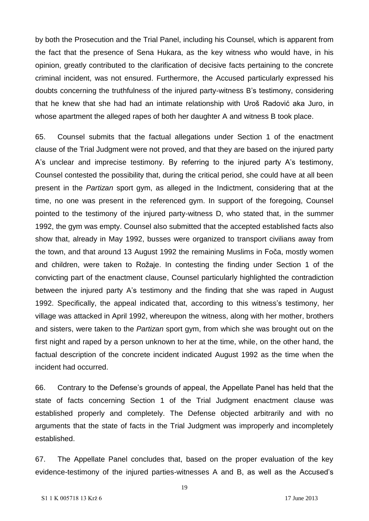by both the Prosecution and the Trial Panel, including his Counsel, which is apparent from the fact that the presence of Sena Hukara, as the key witness who would have, in his opinion, greatly contributed to the clarification of decisive facts pertaining to the concrete criminal incident, was not ensured. Furthermore, the Accused particularly expressed his doubts concerning the truthfulness of the injured party-witness B's testimony, considering that he knew that she had had an intimate relationship with Uroš Radović aka Juro, in whose apartment the alleged rapes of both her daughter A and witness B took place.

65. Counsel submits that the factual allegations under Section 1 of the enactment clause of the Trial Judgment were not proved, and that they are based on the injured party A's unclear and imprecise testimony. By referring to the injured party A's testimony, Counsel contested the possibility that, during the critical period, she could have at all been present in the *Partizan* sport gym, as alleged in the Indictment, considering that at the time, no one was present in the referenced gym. In support of the foregoing, Counsel pointed to the testimony of the injured party-witness D, who stated that, in the summer 1992, the gym was empty. Counsel also submitted that the accepted established facts also show that, already in May 1992, busses were organized to transport civilians away from the town, and that around 13 August 1992 the remaining Muslims in Foča, mostly women and children, were taken to Rožaje. In contesting the finding under Section 1 of the convicting part of the enactment clause, Counsel particularly highlighted the contradiction between the injured party A's testimony and the finding that she was raped in August 1992. Specifically, the appeal indicated that, according to this witness's testimony, her village was attacked in April 1992, whereupon the witness, along with her mother, brothers and sisters, were taken to the *Partizan* sport gym, from which she was brought out on the first night and raped by a person unknown to her at the time, while, on the other hand, the factual description of the concrete incident indicated August 1992 as the time when the incident had occurred.

66. Contrary to the Defense's grounds of appeal, the Appellate Panel has held that the state of facts concerning Section 1 of the Trial Judgment enactment clause was established properly and completely. The Defense objected arbitrarily and with no arguments that the state of facts in the Trial Judgment was improperly and incompletely established.

67. The Appellate Panel concludes that, based on the proper evaluation of the key evidence-testimony of the injured parties-witnesses A and B, as well as the Accused's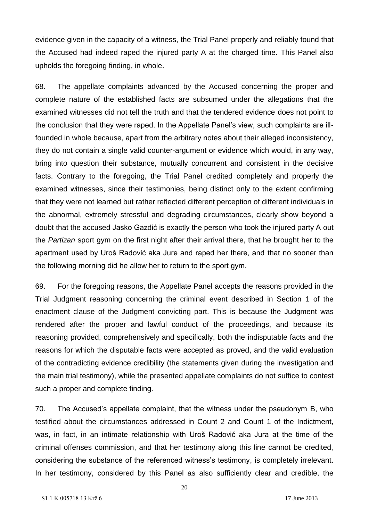evidence given in the capacity of a witness, the Trial Panel properly and reliably found that the Accused had indeed raped the injured party A at the charged time. This Panel also upholds the foregoing finding, in whole.

68. The appellate complaints advanced by the Accused concerning the proper and complete nature of the established facts are subsumed under the allegations that the examined witnesses did not tell the truth and that the tendered evidence does not point to the conclusion that they were raped. In the Appellate Panel's view, such complaints are illfounded in whole because, apart from the arbitrary notes about their alleged inconsistency, they do not contain a single valid counter-argument or evidence which would, in any way, bring into question their substance, mutually concurrent and consistent in the decisive facts. Contrary to the foregoing, the Trial Panel credited completely and properly the examined witnesses, since their testimonies, being distinct only to the extent confirming that they were not learned but rather reflected different perception of different individuals in the abnormal, extremely stressful and degrading circumstances, clearly show beyond a doubt that the accused Jasko Gazdić is exactly the person who took the injured party A out the *Partizan* sport gym on the first night after their arrival there, that he brought her to the apartment used by Uroš Radović aka Jure and raped her there, and that no sooner than the following morning did he allow her to return to the sport gym.

69. For the foregoing reasons, the Appellate Panel accepts the reasons provided in the Trial Judgment reasoning concerning the criminal event described in Section 1 of the enactment clause of the Judgment convicting part. This is because the Judgment was rendered after the proper and lawful conduct of the proceedings, and because its reasoning provided, comprehensively and specifically, both the indisputable facts and the reasons for which the disputable facts were accepted as proved, and the valid evaluation of the contradicting evidence credibility (the statements given during the investigation and the main trial testimony), while the presented appellate complaints do not suffice to contest such a proper and complete finding.

70. The Accused's appellate complaint, that the witness under the pseudonym B, who testified about the circumstances addressed in Count 2 and Count 1 of the Indictment, was, in fact, in an intimate relationship with Uroš Radović aka Jura at the time of the criminal offenses commission, and that her testimony along this line cannot be credited, considering the substance of the referenced witness's testimony, is completely irrelevant. In her testimony, considered by this Panel as also sufficiently clear and credible, the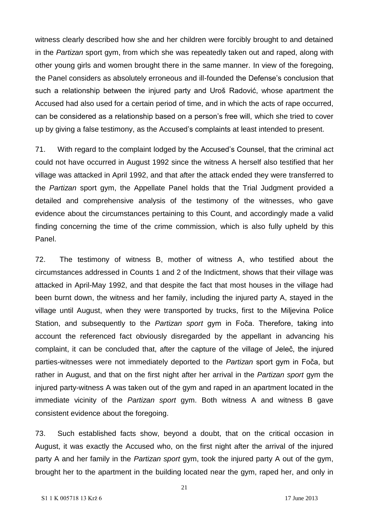witness clearly described how she and her children were forcibly brought to and detained in the *Partizan* sport gym, from which she was repeatedly taken out and raped, along with other young girls and women brought there in the same manner. In view of the foregoing, the Panel considers as absolutely erroneous and ill-founded the Defense's conclusion that such a relationship between the injured party and Uroš Radović, whose apartment the Accused had also used for a certain period of time, and in which the acts of rape occurred, can be considered as a relationship based on a person's free will, which she tried to cover up by giving a false testimony, as the Accused's complaints at least intended to present.

71. With regard to the complaint lodged by the Accused's Counsel, that the criminal act could not have occurred in August 1992 since the witness A herself also testified that her village was attacked in April 1992, and that after the attack ended they were transferred to the *Partizan* sport gym, the Appellate Panel holds that the Trial Judgment provided a detailed and comprehensive analysis of the testimony of the witnesses, who gave evidence about the circumstances pertaining to this Count, and accordingly made a valid finding concerning the time of the crime commission, which is also fully upheld by this Panel.

72. The testimony of witness B, mother of witness A, who testified about the circumstances addressed in Counts 1 and 2 of the Indictment, shows that their village was attacked in April-May 1992, and that despite the fact that most houses in the village had been burnt down, the witness and her family, including the injured party A, stayed in the village until August, when they were transported by trucks, first to the Miljevina Police Station, and subsequently to the *Partizan sport* gym in Foča. Therefore, taking into account the referenced fact obviously disregarded by the appellant in advancing his complaint, it can be concluded that, after the capture of the village of Jeleč, the injured parties-witnesses were not immediately deported to the *Partizan* sport gym in Foča, but rather in August, and that on the first night after her arrival in the *Partizan sport* gym the injured party-witness A was taken out of the gym and raped in an apartment located in the immediate vicinity of the *Partizan sport* gym. Both witness A and witness B gave consistent evidence about the foregoing.

73. Such established facts show, beyond a doubt, that on the critical occasion in August, it was exactly the Accused who, on the first night after the arrival of the injured party A and her family in the *Partizan sport* gym, took the injured party A out of the gym, brought her to the apartment in the building located near the gym, raped her, and only in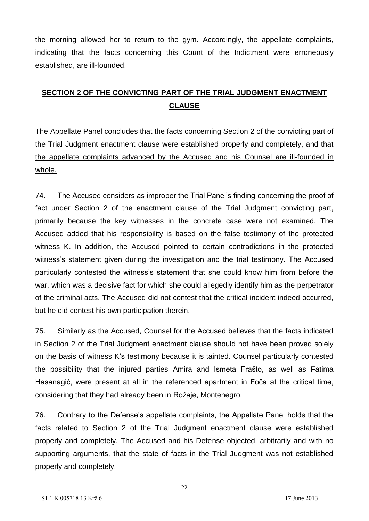the morning allowed her to return to the gym. Accordingly, the appellate complaints, indicating that the facts concerning this Count of the Indictment were erroneously established, are ill-founded.

## **SECTION 2 OF THE CONVICTING PART OF THE TRIAL JUDGMENT ENACTMENT CLAUSE**

The Appellate Panel concludes that the facts concerning Section 2 of the convicting part of the Trial Judgment enactment clause were established properly and completely, and that the appellate complaints advanced by the Accused and his Counsel are ill-founded in whole.

74. The Accused considers as improper the Trial Panel's finding concerning the proof of fact under Section 2 of the enactment clause of the Trial Judgment convicting part, primarily because the key witnesses in the concrete case were not examined. The Accused added that his responsibility is based on the false testimony of the protected witness K. In addition, the Accused pointed to certain contradictions in the protected witness's statement given during the investigation and the trial testimony. The Accused particularly contested the witness's statement that she could know him from before the war, which was a decisive fact for which she could allegedly identify him as the perpetrator of the criminal acts. The Accused did not contest that the critical incident indeed occurred, but he did contest his own participation therein.

75. Similarly as the Accused, Counsel for the Accused believes that the facts indicated in Section 2 of the Trial Judgment enactment clause should not have been proved solely on the basis of witness K's testimony because it is tainted. Counsel particularly contested the possibility that the injured parties Amira and Ismeta Frašto, as well as Fatima Hasanagić, were present at all in the referenced apartment in Foča at the critical time, considering that they had already been in Rožaje, Montenegro.

76. Contrary to the Defense's appellate complaints, the Appellate Panel holds that the facts related to Section 2 of the Trial Judgment enactment clause were established properly and completely. The Accused and his Defense objected, arbitrarily and with no supporting arguments, that the state of facts in the Trial Judgment was not established properly and completely.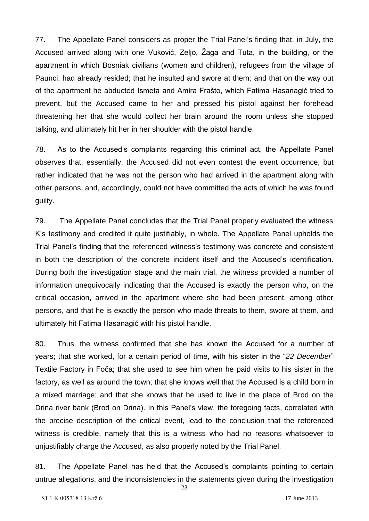77. The Appellate Panel considers as proper the Trial Panel's finding that, in July, the Accused arrived along with one Vuković, Zeljo, Žaga and Tuta, in the building, or the apartment in which Bosniak civilians (women and children), refugees from the village of Paunci, had already resided; that he insulted and swore at them; and that on the way out of the apartment he abducted Ismeta and Amira Frašto, which Fatima Hasanagić tried to prevent, but the Accused came to her and pressed his pistol against her forehead threatening her that she would collect her brain around the room unless she stopped talking, and ultimately hit her in her shoulder with the pistol handle.

78. As to the Accused's complaints regarding this criminal act, the Appellate Panel observes that, essentially, the Accused did not even contest the event occurrence, but rather indicated that he was not the person who had arrived in the apartment along with other persons, and, accordingly, could not have committed the acts of which he was found guilty.

79. The Appellate Panel concludes that the Trial Panel properly evaluated the witness K's testimony and credited it quite justifiably, in whole. The Appellate Panel upholds the Trial Panel's finding that the referenced witness's testimony was concrete and consistent in both the description of the concrete incident itself and the Accused's identification. During both the investigation stage and the main trial, the witness provided a number of information unequivocally indicating that the Accused is exactly the person who, on the critical occasion, arrived in the apartment where she had been present, among other persons, and that he is exactly the person who made threats to them, swore at them, and ultimately hit Fatima Hasanagić with his pistol handle.

80. Thus, the witness confirmed that she has known the Accused for a number of years; that she worked, for a certain period of time, with his sister in the "*22 December*" Textile Factory in Foča; that she used to see him when he paid visits to his sister in the factory, as well as around the town; that she knows well that the Accused is a child born in a mixed marriage; and that she knows that he used to live in the place of Brod on the Drina river bank (Brod on Drina). In this Panel's view, the foregoing facts, correlated with the precise description of the critical event, lead to the conclusion that the referenced witness is credible, namely that this is a witness who had no reasons whatsoever to unjustifiably charge the Accused, as also properly noted by the Trial Panel.

81. The Appellate Panel has held that the Accused's complaints pointing to certain untrue allegations, and the inconsistencies in the statements given during the investigation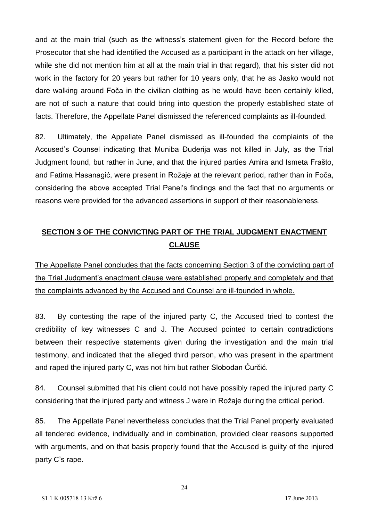and at the main trial (such as the witness's statement given for the Record before the Prosecutor that she had identified the Accused as a participant in the attack on her village, while she did not mention him at all at the main trial in that regard), that his sister did not work in the factory for 20 years but rather for 10 years only, that he as Jasko would not dare walking around Foča in the civilian clothing as he would have been certainly killed, are not of such a nature that could bring into question the properly established state of facts. Therefore, the Appellate Panel dismissed the referenced complaints as ill-founded.

82. Ultimately, the Appellate Panel dismissed as ill-founded the complaints of the Accused's Counsel indicating that Muniba Đuderija was not killed in July, as the Trial Judgment found, but rather in June, and that the injured parties Amira and Ismeta Frašto, and Fatima Hasanagić, were present in Rožaje at the relevant period, rather than in Foča, considering the above accepted Trial Panel's findings and the fact that no arguments or reasons were provided for the advanced assertions in support of their reasonableness.

# **SECTION 3 OF THE CONVICTING PART OF THE TRIAL JUDGMENT ENACTMENT CLAUSE**

The Appellate Panel concludes that the facts concerning Section 3 of the convicting part of the Trial Judgment's enactment clause were established properly and completely and that the complaints advanced by the Accused and Counsel are ill-founded in whole.

83. By contesting the rape of the injured party C, the Accused tried to contest the credibility of key witnesses C and J. The Accused pointed to certain contradictions between their respective statements given during the investigation and the main trial testimony, and indicated that the alleged third person, who was present in the apartment and raped the injured party C, was not him but rather Slobodan Ćurčić.

84. Counsel submitted that his client could not have possibly raped the injured party C considering that the injured party and witness J were in Rožaje during the critical period.

85. The Appellate Panel nevertheless concludes that the Trial Panel properly evaluated all tendered evidence, individually and in combination, provided clear reasons supported with arguments, and on that basis properly found that the Accused is guilty of the injured party C's rape.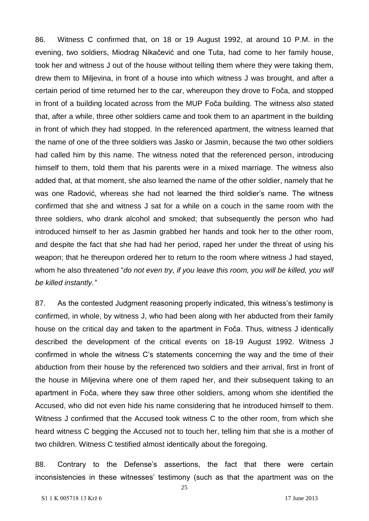86. Witness C confirmed that, on 18 or 19 August 1992, at around 10 P.M. in the evening, two soldiers, Miodrag Nikačević and one Tuta, had come to her family house, took her and witness J out of the house without telling them where they were taking them, drew them to Miljevina, in front of a house into which witness J was brought, and after a certain period of time returned her to the car, whereupon they drove to Foča, and stopped in front of a building located across from the MUP Foča building. The witness also stated that, after a while, three other soldiers came and took them to an apartment in the building in front of which they had stopped. In the referenced apartment, the witness learned that the name of one of the three soldiers was Jasko or Jasmin, because the two other soldiers had called him by this name. The witness noted that the referenced person, introducing himself to them, told them that his parents were in a mixed marriage. The witness also added that, at that moment, she also learned the name of the other soldier, namely that he was one Radović, whereas she had not learned the third soldier's name. The witness confirmed that she and witness J sat for a while on a couch in the same room with the three soldiers, who drank alcohol and smoked; that subsequently the person who had introduced himself to her as Jasmin grabbed her hands and took her to the other room, and despite the fact that she had had her period, raped her under the threat of using his weapon; that he thereupon ordered her to return to the room where witness J had stayed, whom he also threatened "*do not even try, if you leave this room, you will be killed, you will be killed instantly."*

87. As the contested Judgment reasoning properly indicated, this witness's testimony is confirmed, in whole, by witness J, who had been along with her abducted from their family house on the critical day and taken to the apartment in Foča. Thus, witness J identically described the development of the critical events on 18-19 August 1992. Witness J confirmed in whole the witness C's statements concerning the way and the time of their abduction from their house by the referenced two soldiers and their arrival, first in front of the house in Miljevina where one of them raped her, and their subsequent taking to an apartment in Foča, where they saw three other soldiers, among whom she identified the Accused, who did not even hide his name considering that he introduced himself to them. Witness J confirmed that the Accused took witness C to the other room, from which she heard witness C begging the Accused not to touch her, telling him that she is a mother of two children. Witness C testified almost identically about the foregoing.

88. Contrary to the Defense's assertions, the fact that there were certain inconsistencies in these witnesses' testimony (such as that the apartment was on the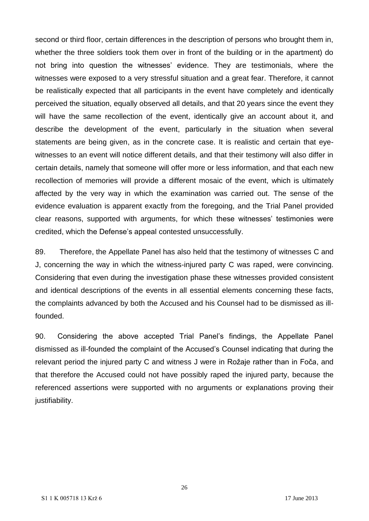second or third floor, certain differences in the description of persons who brought them in, whether the three soldiers took them over in front of the building or in the apartment) do not bring into question the witnesses' evidence. They are testimonials, where the witnesses were exposed to a very stressful situation and a great fear. Therefore, it cannot be realistically expected that all participants in the event have completely and identically perceived the situation, equally observed all details, and that 20 years since the event they will have the same recollection of the event, identically give an account about it, and describe the development of the event, particularly in the situation when several statements are being given, as in the concrete case. It is realistic and certain that eyewitnesses to an event will notice different details, and that their testimony will also differ in certain details, namely that someone will offer more or less information, and that each new recollection of memories will provide a different mosaic of the event, which is ultimately affected by the very way in which the examination was carried out. The sense of the evidence evaluation is apparent exactly from the foregoing, and the Trial Panel provided clear reasons, supported with arguments, for which these witnesses' testimonies were credited, which the Defense's appeal contested unsuccessfully.

89. Therefore, the Appellate Panel has also held that the testimony of witnesses C and J, concerning the way in which the witness-injured party C was raped, were convincing. Considering that even during the investigation phase these witnesses provided consistent and identical descriptions of the events in all essential elements concerning these facts, the complaints advanced by both the Accused and his Counsel had to be dismissed as illfounded.

90. Considering the above accepted Trial Panel's findings, the Appellate Panel dismissed as ill-founded the complaint of the Accused's Counsel indicating that during the relevant period the injured party C and witness J were in Rožaje rather than in Foča, and that therefore the Accused could not have possibly raped the injured party, because the referenced assertions were supported with no arguments or explanations proving their justifiability.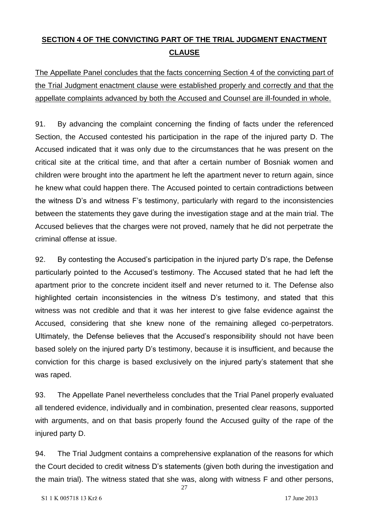# **SECTION 4 OF THE CONVICTING PART OF THE TRIAL JUDGMENT ENACTMENT CLAUSE**

The Appellate Panel concludes that the facts concerning Section 4 of the convicting part of the Trial Judgment enactment clause were established properly and correctly and that the appellate complaints advanced by both the Accused and Counsel are ill-founded in whole.

91. By advancing the complaint concerning the finding of facts under the referenced Section, the Accused contested his participation in the rape of the injured party D. The Accused indicated that it was only due to the circumstances that he was present on the critical site at the critical time, and that after a certain number of Bosniak women and children were brought into the apartment he left the apartment never to return again, since he knew what could happen there. The Accused pointed to certain contradictions between the witness D's and witness F's testimony, particularly with regard to the inconsistencies between the statements they gave during the investigation stage and at the main trial. The Accused believes that the charges were not proved, namely that he did not perpetrate the criminal offense at issue.

92. By contesting the Accused's participation in the injured party D's rape, the Defense particularly pointed to the Accused's testimony. The Accused stated that he had left the apartment prior to the concrete incident itself and never returned to it. The Defense also highlighted certain inconsistencies in the witness D's testimony, and stated that this witness was not credible and that it was her interest to give false evidence against the Accused, considering that she knew none of the remaining alleged co-perpetrators. Ultimately, the Defense believes that the Accused's responsibility should not have been based solely on the injured party D's testimony, because it is insufficient, and because the conviction for this charge is based exclusively on the injured party's statement that she was raped.

93. The Appellate Panel nevertheless concludes that the Trial Panel properly evaluated all tendered evidence, individually and in combination, presented clear reasons, supported with arguments, and on that basis properly found the Accused guilty of the rape of the injured party D.

94. The Trial Judgment contains a comprehensive explanation of the reasons for which the Court decided to credit witness D's statements (given both during the investigation and the main trial). The witness stated that she was, along with witness F and other persons,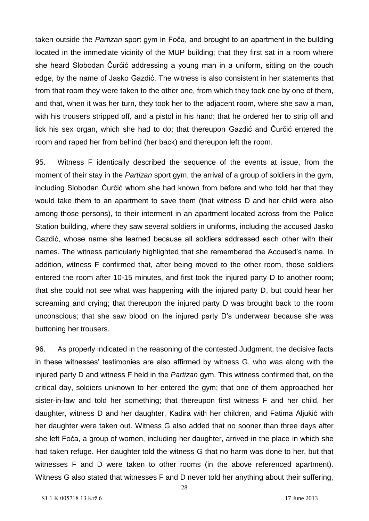taken outside the *Partizan* sport gym in Foča, and brought to an apartment in the building located in the immediate vicinity of the MUP building; that they first sat in a room where she heard Slobodan Čurćić addressing a young man in a uniform, sitting on the couch edge, by the name of Jasko Gazdić. The witness is also consistent in her statements that from that room they were taken to the other one, from which they took one by one of them, and that, when it was her turn, they took her to the adjacent room, where she saw a man, with his trousers stripped off, and a pistol in his hand; that he ordered her to strip off and lick his sex organ, which she had to do; that thereupon Gazdić and Čurčić entered the room and raped her from behind (her back) and thereupon left the room.

95. Witness F identically described the sequence of the events at issue, from the moment of their stay in the *Partizan* sport gym, the arrival of a group of soldiers in the gym, including Slobodan Ćurčić whom she had known from before and who told her that they would take them to an apartment to save them (that witness D and her child were also among those persons), to their interment in an apartment located across from the Police Station building, where they saw several soldiers in uniforms, including the accused Jasko Gazdić, whose name she learned because all soldiers addressed each other with their names. The witness particularly highlighted that she remembered the Accused's name. In addition, witness F confirmed that, after being moved to the other room, those soldiers entered the room after 10-15 minutes, and first took the injured party D to another room; that she could not see what was happening with the injured party D, but could hear her screaming and crying; that thereupon the injured party D was brought back to the room unconscious; that she saw blood on the injured party D's underwear because she was buttoning her trousers.

96. As properly indicated in the reasoning of the contested Judgment, the decisive facts in these witnesses' testimonies are also affirmed by witness G, who was along with the injured party D and witness F held in the *Partizan* gym. This witness confirmed that, on the critical day, soldiers unknown to her entered the gym; that one of them approached her sister-in-law and told her something; that thereupon first witness F and her child, her daughter, witness D and her daughter, Kadira with her children, and Fatima Aljukić with her daughter were taken out. Witness G also added that no sooner than three days after she left Foča, a group of women, including her daughter, arrived in the place in which she had taken refuge. Her daughter told the witness G that no harm was done to her, but that witnesses F and D were taken to other rooms (in the above referenced apartment). Witness G also stated that witnesses F and D never told her anything about their suffering,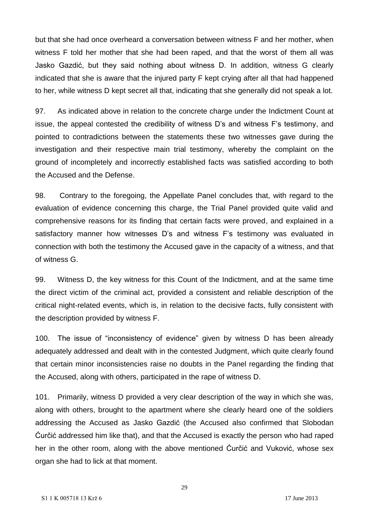but that she had once overheard a conversation between witness F and her mother, when witness F told her mother that she had been raped, and that the worst of them all was Jasko Gazdić, but they said nothing about witness D. In addition, witness G clearly indicated that she is aware that the injured party F kept crying after all that had happened to her, while witness D kept secret all that, indicating that she generally did not speak a lot.

97. As indicated above in relation to the concrete charge under the Indictment Count at issue, the appeal contested the credibility of witness D's and witness F's testimony, and pointed to contradictions between the statements these two witnesses gave during the investigation and their respective main trial testimony, whereby the complaint on the ground of incompletely and incorrectly established facts was satisfied according to both the Accused and the Defense.

98. Contrary to the foregoing, the Appellate Panel concludes that, with regard to the evaluation of evidence concerning this charge, the Trial Panel provided quite valid and comprehensive reasons for its finding that certain facts were proved, and explained in a satisfactory manner how witnesses D's and witness F's testimony was evaluated in connection with both the testimony the Accused gave in the capacity of a witness, and that of witness G.

99. Witness D, the key witness for this Count of the Indictment, and at the same time the direct victim of the criminal act, provided a consistent and reliable description of the critical night-related events, which is, in relation to the decisive facts, fully consistent with the description provided by witness F.

100. The issue of "inconsistency of evidence" given by witness D has been already adequately addressed and dealt with in the contested Judgment, which quite clearly found that certain minor inconsistencies raise no doubts in the Panel regarding the finding that the Accused, along with others, participated in the rape of witness D.

101. Primarily, witness D provided a very clear description of the way in which she was, along with others, brought to the apartment where she clearly heard one of the soldiers addressing the Accused as Jasko Gazdić (the Accused also confirmed that Slobodan Ćurčić addressed him like that), and that the Accused is exactly the person who had raped her in the other room, along with the above mentioned Ćurčić and Vuković, whose sex organ she had to lick at that moment.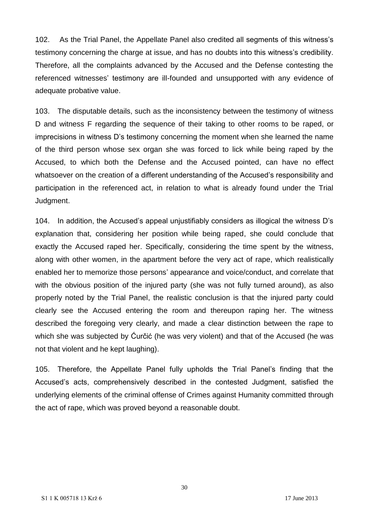102. As the Trial Panel, the Appellate Panel also credited all segments of this witness's testimony concerning the charge at issue, and has no doubts into this witness's credibility. Therefore, all the complaints advanced by the Accused and the Defense contesting the referenced witnesses' testimony are ill-founded and unsupported with any evidence of adequate probative value.

103. The disputable details, such as the inconsistency between the testimony of witness D and witness F regarding the sequence of their taking to other rooms to be raped, or imprecisions in witness D's testimony concerning the moment when she learned the name of the third person whose sex organ she was forced to lick while being raped by the Accused, to which both the Defense and the Accused pointed, can have no effect whatsoever on the creation of a different understanding of the Accused's responsibility and participation in the referenced act, in relation to what is already found under the Trial Judgment.

104. In addition, the Accused's appeal unjustifiably considers as illogical the witness D's explanation that, considering her position while being raped, she could conclude that exactly the Accused raped her. Specifically, considering the time spent by the witness, along with other women, in the apartment before the very act of rape, which realistically enabled her to memorize those persons' appearance and voice/conduct, and correlate that with the obvious position of the injured party (she was not fully turned around), as also properly noted by the Trial Panel, the realistic conclusion is that the injured party could clearly see the Accused entering the room and thereupon raping her. The witness described the foregoing very clearly, and made a clear distinction between the rape to which she was subjected by Ćurčić (he was very violent) and that of the Accused (he was not that violent and he kept laughing).

105. Therefore, the Appellate Panel fully upholds the Trial Panel's finding that the Accused's acts, comprehensively described in the contested Judgment, satisfied the underlying elements of the criminal offense of Crimes against Humanity committed through the act of rape, which was proved beyond a reasonable doubt.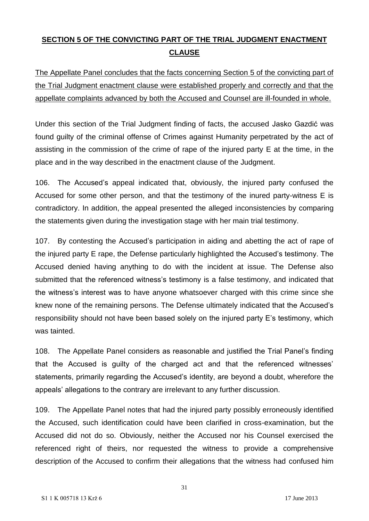# **SECTION 5 OF THE CONVICTING PART OF THE TRIAL JUDGMENT ENACTMENT CLAUSE**

The Appellate Panel concludes that the facts concerning Section 5 of the convicting part of the Trial Judgment enactment clause were established properly and correctly and that the appellate complaints advanced by both the Accused and Counsel are ill-founded in whole.

Under this section of the Trial Judgment finding of facts, the accused Jasko Gazdić was found guilty of the criminal offense of Crimes against Humanity perpetrated by the act of assisting in the commission of the crime of rape of the injured party E at the time, in the place and in the way described in the enactment clause of the Judgment.

106. The Accused's appeal indicated that, obviously, the injured party confused the Accused for some other person, and that the testimony of the inured party-witness E is contradictory. In addition, the appeal presented the alleged inconsistencies by comparing the statements given during the investigation stage with her main trial testimony.

107. By contesting the Accused's participation in aiding and abetting the act of rape of the injured party E rape, the Defense particularly highlighted the Accused's testimony. The Accused denied having anything to do with the incident at issue. The Defense also submitted that the referenced witness's testimony is a false testimony, and indicated that the witness's interest was to have anyone whatsoever charged with this crime since she knew none of the remaining persons. The Defense ultimately indicated that the Accused's responsibility should not have been based solely on the injured party E's testimony, which was tainted.

108. The Appellate Panel considers as reasonable and justified the Trial Panel's finding that the Accused is guilty of the charged act and that the referenced witnesses' statements, primarily regarding the Accused's identity, are beyond a doubt, wherefore the appeals' allegations to the contrary are irrelevant to any further discussion.

109. The Appellate Panel notes that had the injured party possibly erroneously identified the Accused, such identification could have been clarified in cross-examination, but the Accused did not do so. Obviously, neither the Accused nor his Counsel exercised the referenced right of theirs, nor requested the witness to provide a comprehensive description of the Accused to confirm their allegations that the witness had confused him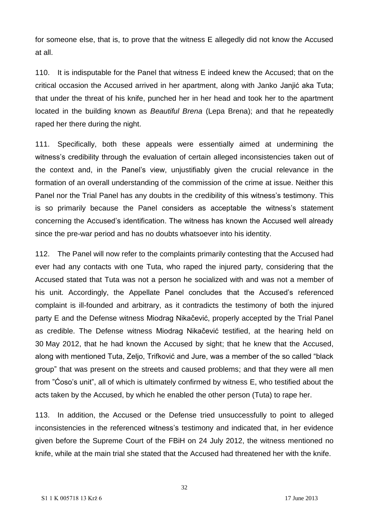for someone else, that is, to prove that the witness E allegedly did not know the Accused at all.

110. It is indisputable for the Panel that witness E indeed knew the Accused; that on the critical occasion the Accused arrived in her apartment, along with Janko Janjić aka Tuta; that under the threat of his knife, punched her in her head and took her to the apartment located in the building known as *Beautiful Brena* (Lepa Brena); and that he repeatedly raped her there during the night.

111. Specifically, both these appeals were essentially aimed at undermining the witness's credibility through the evaluation of certain alleged inconsistencies taken out of the context and, in the Panel's view, unjustifiably given the crucial relevance in the formation of an overall understanding of the commission of the crime at issue. Neither this Panel nor the Trial Panel has any doubts in the credibility of this witness's testimony. This is so primarily because the Panel considers as acceptable the witness's statement concerning the Accused's identification. The witness has known the Accused well already since the pre-war period and has no doubts whatsoever into his identity.

112. The Panel will now refer to the complaints primarily contesting that the Accused had ever had any contacts with one Tuta, who raped the injured party, considering that the Accused stated that Tuta was not a person he socialized with and was not a member of his unit. Accordingly, the Appellate Panel concludes that the Accused's referenced complaint is ill-founded and arbitrary, as it contradicts the testimony of both the injured party E and the Defense witness Miodrag Nikačević, properly accepted by the Trial Panel as credible. The Defense witness Miodrag Nikačević testified, at the hearing held on 30 May 2012, that he had known the Accused by sight; that he knew that the Accused, along with mentioned Tuta, Zeljo, Trifković and Jure, was a member of the so called "black group" that was present on the streets and caused problems; and that they were all men from "Ćoso's unit", all of which is ultimately confirmed by witness E, who testified about the acts taken by the Accused, by which he enabled the other person (Tuta) to rape her.

113. In addition, the Accused or the Defense tried unsuccessfully to point to alleged inconsistencies in the referenced witness's testimony and indicated that, in her evidence given before the Supreme Court of the FBiH on 24 July 2012, the witness mentioned no knife, while at the main trial she stated that the Accused had threatened her with the knife.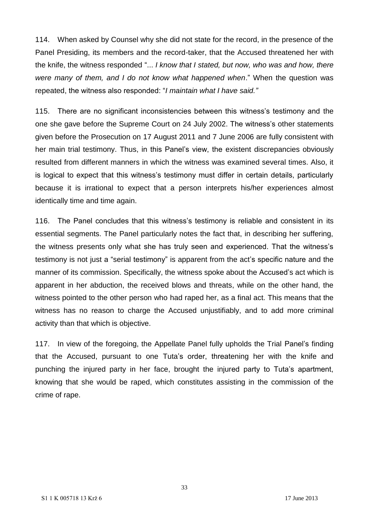114. When asked by Counsel why she did not state for the record, in the presence of the Panel Presiding, its members and the record-taker, that the Accused threatened her with the knife, the witness responded "... *I know that I stated, but now, who was and how, there were many of them, and I do not know what happened when*." When the question was repeated, the witness also responded: "*I maintain what I have said."*

115. There are no significant inconsistencies between this witness's testimony and the one she gave before the Supreme Court on 24 July 2002. The witness's other statements given before the Prosecution on 17 August 2011 and 7 June 2006 are fully consistent with her main trial testimony. Thus, in this Panel's view, the existent discrepancies obviously resulted from different manners in which the witness was examined several times. Also, it is logical to expect that this witness's testimony must differ in certain details, particularly because it is irrational to expect that a person interprets his/her experiences almost identically time and time again.

116. The Panel concludes that this witness's testimony is reliable and consistent in its essential segments. The Panel particularly notes the fact that, in describing her suffering, the witness presents only what she has truly seen and experienced. That the witness's testimony is not just a "serial testimony" is apparent from the act's specific nature and the manner of its commission. Specifically, the witness spoke about the Accused's act which is apparent in her abduction, the received blows and threats, while on the other hand, the witness pointed to the other person who had raped her, as a final act. This means that the witness has no reason to charge the Accused unjustifiably, and to add more criminal activity than that which is objective.

117. In view of the foregoing, the Appellate Panel fully upholds the Trial Panel's finding that the Accused, pursuant to one Tuta's order, threatening her with the knife and punching the injured party in her face, brought the injured party to Tuta's apartment, knowing that she would be raped, which constitutes assisting in the commission of the crime of rape.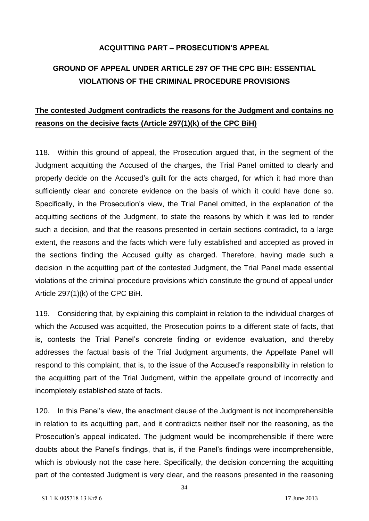### **ACQUITTING PART – PROSECUTION'S APPEAL**

# **GROUND OF APPEAL UNDER ARTICLE 297 OF THE CPC BIH: ESSENTIAL VIOLATIONS OF THE CRIMINAL PROCEDURE PROVISIONS**

### **The contested Judgment contradicts the reasons for the Judgment and contains no reasons on the decisive facts (Article 297(1)(k) of the CPC BiH)**

118. Within this ground of appeal, the Prosecution argued that, in the segment of the Judgment acquitting the Accused of the charges, the Trial Panel omitted to clearly and properly decide on the Accused's guilt for the acts charged, for which it had more than sufficiently clear and concrete evidence on the basis of which it could have done so. Specifically, in the Prosecution's view, the Trial Panel omitted, in the explanation of the acquitting sections of the Judgment, to state the reasons by which it was led to render such a decision, and that the reasons presented in certain sections contradict, to a large extent, the reasons and the facts which were fully established and accepted as proved in the sections finding the Accused guilty as charged. Therefore, having made such a decision in the acquitting part of the contested Judgment, the Trial Panel made essential violations of the criminal procedure provisions which constitute the ground of appeal under Article 297(1)(k) of the CPC BiH.

119. Considering that, by explaining this complaint in relation to the individual charges of which the Accused was acquitted, the Prosecution points to a different state of facts, that is, contests the Trial Panel's concrete finding or evidence evaluation, and thereby addresses the factual basis of the Trial Judgment arguments, the Appellate Panel will respond to this complaint, that is, to the issue of the Accused's responsibility in relation to the acquitting part of the Trial Judgment, within the appellate ground of incorrectly and incompletely established state of facts.

120. In this Panel's view, the enactment clause of the Judgment is not incomprehensible in relation to its acquitting part, and it contradicts neither itself nor the reasoning, as the Prosecution's appeal indicated. The judgment would be incomprehensible if there were doubts about the Panel's findings, that is, if the Panel's findings were incomprehensible, which is obviously not the case here. Specifically, the decision concerning the acquitting part of the contested Judgment is very clear, and the reasons presented in the reasoning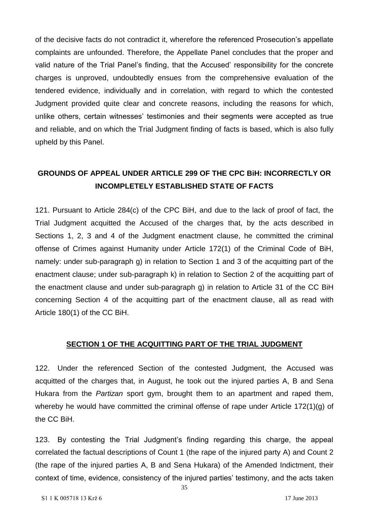of the decisive facts do not contradict it, wherefore the referenced Prosecution's appellate complaints are unfounded. Therefore, the Appellate Panel concludes that the proper and valid nature of the Trial Panel's finding, that the Accused' responsibility for the concrete charges is unproved, undoubtedly ensues from the comprehensive evaluation of the tendered evidence, individually and in correlation, with regard to which the contested Judgment provided quite clear and concrete reasons, including the reasons for which, unlike others, certain witnesses' testimonies and their segments were accepted as true and reliable, and on which the Trial Judgment finding of facts is based, which is also fully upheld by this Panel.

### **GROUNDS OF APPEAL UNDER ARTICLE 299 OF THE CPC BiH: INCORRECTLY OR INCOMPLETELY ESTABLISHED STATE OF FACTS**

121. Pursuant to Article 284(c) of the CPC BiH, and due to the lack of proof of fact, the Trial Judgment acquitted the Accused of the charges that, by the acts described in Sections 1, 2, 3 and 4 of the Judgment enactment clause, he committed the criminal offense of Crimes against Humanity under Article 172(1) of the Criminal Code of BiH, namely: under sub-paragraph g) in relation to Section 1 and 3 of the acquitting part of the enactment clause; under sub-paragraph k) in relation to Section 2 of the acquitting part of the enactment clause and under sub-paragraph g) in relation to Article 31 of the CC BiH concerning Section 4 of the acquitting part of the enactment clause, all as read with Article 180(1) of the CC BiH.

### **SECTION 1 OF THE ACQUITTING PART OF THE TRIAL JUDGMENT**

122. Under the referenced Section of the contested Judgment, the Accused was acquitted of the charges that, in August, he took out the injured parties A, B and Sena Hukara from the *Partizan* sport gym, brought them to an apartment and raped them, whereby he would have committed the criminal offense of rape under Article 172(1)(g) of the CC BiH.

123. By contesting the Trial Judgment's finding regarding this charge, the appeal correlated the factual descriptions of Count 1 (the rape of the injured party A) and Count 2 (the rape of the injured parties A, B and Sena Hukara) of the Amended Indictment, their context of time, evidence, consistency of the injured parties' testimony, and the acts taken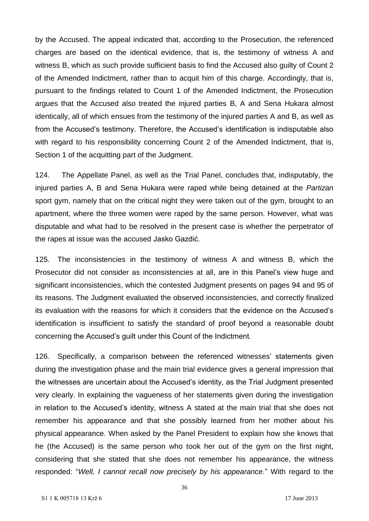by the Accused. The appeal indicated that, according to the Prosecution, the referenced charges are based on the identical evidence, that is, the testimony of witness A and witness B, which as such provide sufficient basis to find the Accused also guilty of Count 2 of the Amended Indictment, rather than to acquit him of this charge. Accordingly, that is, pursuant to the findings related to Count 1 of the Amended Indictment, the Prosecution argues that the Accused also treated the injured parties B, A and Sena Hukara almost identically, all of which ensues from the testimony of the injured parties A and B, as well as from the Accused's testimony. Therefore, the Accused's identification is indisputable also with regard to his responsibility concerning Count 2 of the Amended Indictment, that is, Section 1 of the acquitting part of the Judgment.

124. The Appellate Panel, as well as the Trial Panel, concludes that, indisputably, the injured parties A, B and Sena Hukara were raped while being detained at the *Partizan* sport gym, namely that on the critical night they were taken out of the gym, brought to an apartment, where the three women were raped by the same person. However, what was disputable and what had to be resolved in the present case is whether the perpetrator of the rapes at issue was the accused Jasko Gazdić.

125. The inconsistencies in the testimony of witness A and witness B, which the Prosecutor did not consider as inconsistencies at all, are in this Panel's view huge and significant inconsistencies, which the contested Judgment presents on pages 94 and 95 of its reasons. The Judgment evaluated the observed inconsistencies, and correctly finalized its evaluation with the reasons for which it considers that the evidence on the Accused's identification is insufficient to satisfy the standard of proof beyond a reasonable doubt concerning the Accused's guilt under this Count of the Indictment.

126. Specifically, a comparison between the referenced witnesses' statements given during the investigation phase and the main trial evidence gives a general impression that the witnesses are uncertain about the Accused's identity, as the Trial Judgment presented very clearly. In explaining the vagueness of her statements given during the investigation in relation to the Accused's identity, witness A stated at the main trial that she does not remember his appearance and that she possibly learned from her mother about his physical appearance. When asked by the Panel President to explain how she knows that he (the Accused) is the same person who took her out of the gym on the first night, considering that she stated that she does not remember his appearance, the witness responded: "*Well, I cannot recall now precisely by his appearance.*" With regard to the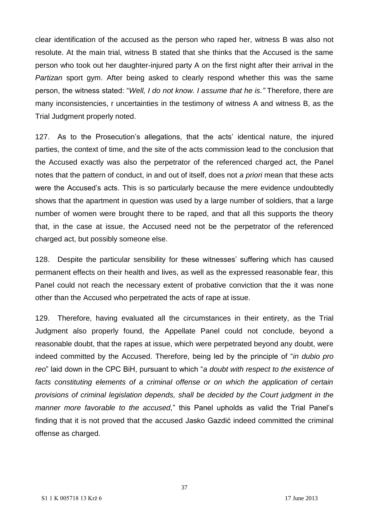clear identification of the accused as the person who raped her, witness B was also not resolute. At the main trial, witness B stated that she thinks that the Accused is the same person who took out her daughter-injured party A on the first night after their arrival in the *Partizan* sport gym. After being asked to clearly respond whether this was the same person, the witness stated: "*Well, I do not know. I assume that he is."* Therefore, there are many inconsistencies, r uncertainties in the testimony of witness A and witness B, as the Trial Judgment properly noted.

127. As to the Prosecution's allegations, that the acts' identical nature, the injured parties, the context of time, and the site of the acts commission lead to the conclusion that the Accused exactly was also the perpetrator of the referenced charged act, the Panel notes that the pattern of conduct, in and out of itself, does not *a priori* mean that these acts were the Accused's acts. This is so particularly because the mere evidence undoubtedly shows that the apartment in question was used by a large number of soldiers, that a large number of women were brought there to be raped, and that all this supports the theory that, in the case at issue, the Accused need not be the perpetrator of the referenced charged act, but possibly someone else.

128. Despite the particular sensibility for these witnesses' suffering which has caused permanent effects on their health and lives, as well as the expressed reasonable fear, this Panel could not reach the necessary extent of probative conviction that the it was none other than the Accused who perpetrated the acts of rape at issue.

129. Therefore, having evaluated all the circumstances in their entirety, as the Trial Judgment also properly found, the Appellate Panel could not conclude, beyond a reasonable doubt, that the rapes at issue, which were perpetrated beyond any doubt, were indeed committed by the Accused. Therefore, being led by the principle of "*in dubio pro reo*" laid down in the CPC BiH, pursuant to which "*a doubt with respect to the existence of*  facts constituting elements of a criminal offense or on which the application of certain *provisions of criminal legislation depends, shall be decided by the Court judgment in the manner more favorable to the accused,*" this Panel upholds as valid the Trial Panel's finding that it is not proved that the accused Jasko Gazdić indeed committed the criminal offense as charged.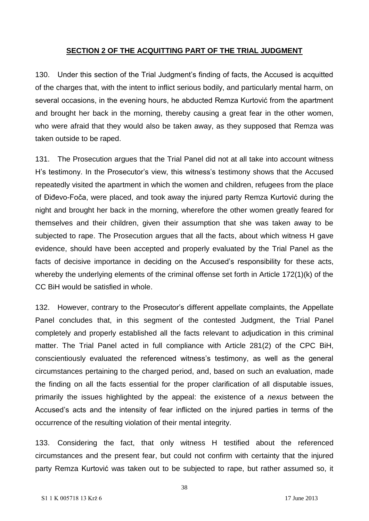#### **SECTION 2 OF THE ACQUITTING PART OF THE TRIAL JUDGMENT**

130. Under this section of the Trial Judgment's finding of facts, the Accused is acquitted of the charges that, with the intent to inflict serious bodily, and particularly mental harm, on several occasions, in the evening hours, he abducted Remza Kurtović from the apartment and brought her back in the morning, thereby causing a great fear in the other women, who were afraid that they would also be taken away, as they supposed that Remza was taken outside to be raped.

131. The Prosecution argues that the Trial Panel did not at all take into account witness H's testimony. In the Prosecutor's view, this witness's testimony shows that the Accused repeatedly visited the apartment in which the women and children, refugees from the place of Điđevo-Foča, were placed, and took away the injured party Remza Kurtović during the night and brought her back in the morning, wherefore the other women greatly feared for themselves and their children, given their assumption that she was taken away to be subjected to rape. The Prosecution argues that all the facts, about which witness H gave evidence, should have been accepted and properly evaluated by the Trial Panel as the facts of decisive importance in deciding on the Accused's responsibility for these acts, whereby the underlying elements of the criminal offense set forth in Article 172(1)(k) of the CC BiH would be satisfied in whole.

132. However, contrary to the Prosecutor's different appellate complaints, the Appellate Panel concludes that, in this segment of the contested Judgment, the Trial Panel completely and properly established all the facts relevant to adjudication in this criminal matter. The Trial Panel acted in full compliance with Article 281(2) of the CPC BiH, conscientiously evaluated the referenced witness's testimony, as well as the general circumstances pertaining to the charged period, and, based on such an evaluation, made the finding on all the facts essential for the proper clarification of all disputable issues, primarily the issues highlighted by the appeal: the existence of a *nexus* between the Accused's acts and the intensity of fear inflicted on the injured parties in terms of the occurrence of the resulting violation of their mental integrity.

133. Considering the fact, that only witness H testified about the referenced circumstances and the present fear, but could not confirm with certainty that the injured party Remza Kurtović was taken out to be subjected to rape, but rather assumed so, it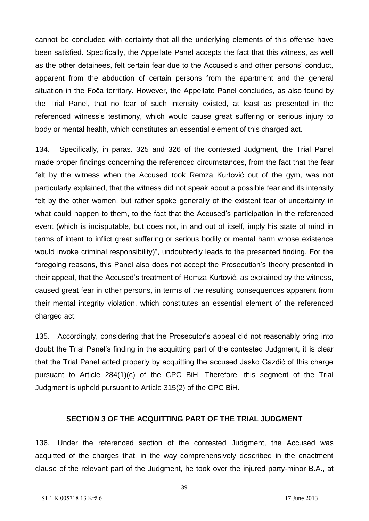cannot be concluded with certainty that all the underlying elements of this offense have been satisfied. Specifically, the Appellate Panel accepts the fact that this witness, as well as the other detainees, felt certain fear due to the Accused's and other persons' conduct, apparent from the abduction of certain persons from the apartment and the general situation in the Foča territory. However, the Appellate Panel concludes, as also found by the Trial Panel, that no fear of such intensity existed, at least as presented in the referenced witness's testimony, which would cause great suffering or serious injury to body or mental health, which constitutes an essential element of this charged act.

134. Specifically, in paras. 325 and 326 of the contested Judgment, the Trial Panel made proper findings concerning the referenced circumstances, from the fact that the fear felt by the witness when the Accused took Remza Kurtović out of the gym, was not particularly explained, that the witness did not speak about a possible fear and its intensity felt by the other women, but rather spoke generally of the existent fear of uncertainty in what could happen to them, to the fact that the Accused's participation in the referenced event (which is indisputable, but does not, in and out of itself, imply his state of mind in terms of intent to inflict great suffering or serious bodily or mental harm whose existence would invoke criminal responsibility)", undoubtedly leads to the presented finding. For the foregoing reasons, this Panel also does not accept the Prosecution's theory presented in their appeal, that the Accused's treatment of Remza Kurtović, as explained by the witness, caused great fear in other persons, in terms of the resulting consequences apparent from their mental integrity violation, which constitutes an essential element of the referenced charged act.

135. Accordingly, considering that the Prosecutor's appeal did not reasonably bring into doubt the Trial Panel's finding in the acquitting part of the contested Judgment, it is clear that the Trial Panel acted properly by acquitting the accused Jasko Gazdić of this charge pursuant to Article 284(1)(c) of the CPC BiH. Therefore, this segment of the Trial Judgment is upheld pursuant to Article 315(2) of the CPC BiH.

#### **SECTION 3 OF THE ACQUITTING PART OF THE TRIAL JUDGMENT**

136. Under the referenced section of the contested Judgment, the Accused was acquitted of the charges that, in the way comprehensively described in the enactment clause of the relevant part of the Judgment, he took over the injured party-minor B.A., at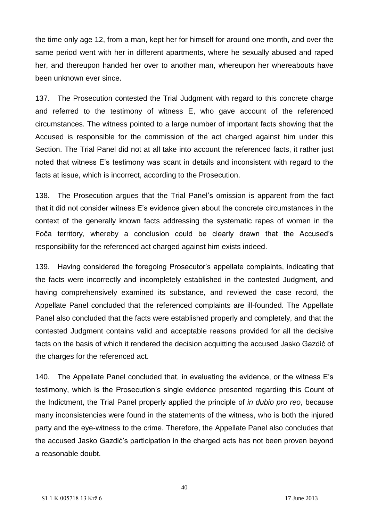the time only age 12, from a man, kept her for himself for around one month, and over the same period went with her in different apartments, where he sexually abused and raped her, and thereupon handed her over to another man, whereupon her whereabouts have been unknown ever since.

137. The Prosecution contested the Trial Judgment with regard to this concrete charge and referred to the testimony of witness E, who gave account of the referenced circumstances. The witness pointed to a large number of important facts showing that the Accused is responsible for the commission of the act charged against him under this Section. The Trial Panel did not at all take into account the referenced facts, it rather just noted that witness E's testimony was scant in details and inconsistent with regard to the facts at issue, which is incorrect, according to the Prosecution.

138. The Prosecution argues that the Trial Panel's omission is apparent from the fact that it did not consider witness E's evidence given about the concrete circumstances in the context of the generally known facts addressing the systematic rapes of women in the Foča territory, whereby a conclusion could be clearly drawn that the Accused's responsibility for the referenced act charged against him exists indeed.

139. Having considered the foregoing Prosecutor's appellate complaints, indicating that the facts were incorrectly and incompletely established in the contested Judgment, and having comprehensively examined its substance, and reviewed the case record, the Appellate Panel concluded that the referenced complaints are ill-founded. The Appellate Panel also concluded that the facts were established properly and completely, and that the contested Judgment contains valid and acceptable reasons provided for all the decisive facts on the basis of which it rendered the decision acquitting the accused Jasko Gazdić of the charges for the referenced act.

140. The Appellate Panel concluded that, in evaluating the evidence, or the witness E's testimony, which is the Prosecution's single evidence presented regarding this Count of the Indictment, the Trial Panel properly applied the principle of *in dubio pro reo*, because many inconsistencies were found in the statements of the witness, who is both the injured party and the eye-witness to the crime. Therefore, the Appellate Panel also concludes that the accused Jasko Gazdić's participation in the charged acts has not been proven beyond a reasonable doubt.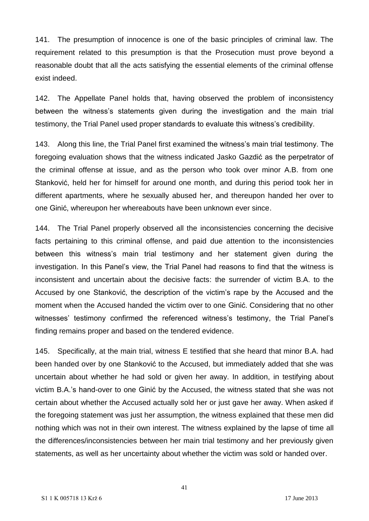141. The presumption of innocence is one of the basic principles of criminal law. The requirement related to this presumption is that the Prosecution must prove beyond a reasonable doubt that all the acts satisfying the essential elements of the criminal offense exist indeed.

142. The Appellate Panel holds that, having observed the problem of inconsistency between the witness's statements given during the investigation and the main trial testimony, the Trial Panel used proper standards to evaluate this witness's credibility.

143. Along this line, the Trial Panel first examined the witness's main trial testimony. The foregoing evaluation shows that the witness indicated Jasko Gazdić as the perpetrator of the criminal offense at issue, and as the person who took over minor A.B. from one Stanković, held her for himself for around one month, and during this period took her in different apartments, where he sexually abused her, and thereupon handed her over to one Ginić, whereupon her whereabouts have been unknown ever since.

144. The Trial Panel properly observed all the inconsistencies concerning the decisive facts pertaining to this criminal offense, and paid due attention to the inconsistencies between this witness's main trial testimony and her statement given during the investigation. In this Panel's view, the Trial Panel had reasons to find that the witness is inconsistent and uncertain about the decisive facts: the surrender of victim B.A. to the Accused by one Stanković, the description of the victim's rape by the Accused and the moment when the Accused handed the victim over to one Ginić. Considering that no other witnesses' testimony confirmed the referenced witness's testimony, the Trial Panel's finding remains proper and based on the tendered evidence.

145. Specifically, at the main trial, witness E testified that she heard that minor B.A. had been handed over by one Stanković to the Accused, but immediately added that she was uncertain about whether he had sold or given her away. In addition, in testifying about victim B.A.'s hand-over to one Ginić by the Accused, the witness stated that she was not certain about whether the Accused actually sold her or just gave her away. When asked if the foregoing statement was just her assumption, the witness explained that these men did nothing which was not in their own interest. The witness explained by the lapse of time all the differences/inconsistencies between her main trial testimony and her previously given statements, as well as her uncertainty about whether the victim was sold or handed over.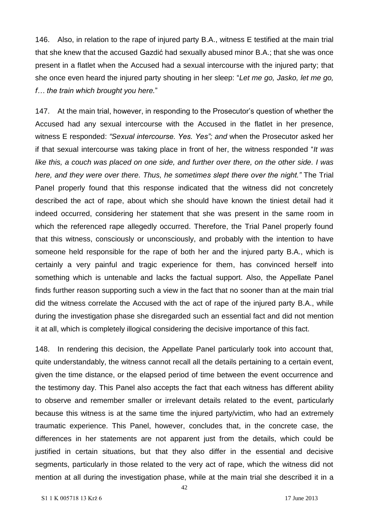146. Also, in relation to the rape of injured party B.A., witness E testified at the main trial that she knew that the accused Gazdić had sexually abused minor B.A.; that she was once present in a flatlet when the Accused had a sexual intercourse with the injured party; that she once even heard the injured party shouting in her sleep: "*Let me go, Jasko, let me go, f… the train which brought you here.*"

147. At the main trial, however, in responding to the Prosecutor's question of whether the Accused had any sexual intercourse with the Accused in the flatlet in her presence, witness E responded: *"Sexual intercourse. Yes. Yes"; and* when the Prosecutor asked her if that sexual intercourse was taking place in front of her, the witness responded "*It was like this, a couch was placed on one side, and further over there, on the other side. I was here, and they were over there. Thus, he sometimes slept there over the night."* The Trial Panel properly found that this response indicated that the witness did not concretely described the act of rape, about which she should have known the tiniest detail had it indeed occurred, considering her statement that she was present in the same room in which the referenced rape allegedly occurred. Therefore, the Trial Panel properly found that this witness, consciously or unconsciously, and probably with the intention to have someone held responsible for the rape of both her and the injured party B.A., which is certainly a very painful and tragic experience for them, has convinced herself into something which is untenable and lacks the factual support. Also, the Appellate Panel finds further reason supporting such a view in the fact that no sooner than at the main trial did the witness correlate the Accused with the act of rape of the injured party B.A., while during the investigation phase she disregarded such an essential fact and did not mention it at all, which is completely illogical considering the decisive importance of this fact.

148. In rendering this decision, the Appellate Panel particularly took into account that, quite understandably, the witness cannot recall all the details pertaining to a certain event, given the time distance, or the elapsed period of time between the event occurrence and the testimony day. This Panel also accepts the fact that each witness has different ability to observe and remember smaller or irrelevant details related to the event, particularly because this witness is at the same time the injured party/victim, who had an extremely traumatic experience. This Panel, however, concludes that, in the concrete case, the differences in her statements are not apparent just from the details, which could be justified in certain situations, but that they also differ in the essential and decisive segments, particularly in those related to the very act of rape, which the witness did not mention at all during the investigation phase, while at the main trial she described it in a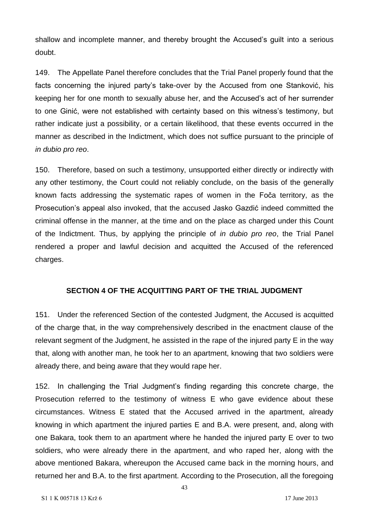shallow and incomplete manner, and thereby brought the Accused's guilt into a serious doubt.

149. The Appellate Panel therefore concludes that the Trial Panel properly found that the facts concerning the injured party's take-over by the Accused from one Stanković, his keeping her for one month to sexually abuse her, and the Accused's act of her surrender to one Ginić, were not established with certainty based on this witness's testimony, but rather indicate just a possibility, or a certain likelihood, that these events occurred in the manner as described in the Indictment, which does not suffice pursuant to the principle of *in dubio pro reo*.

150. Therefore, based on such a testimony, unsupported either directly or indirectly with any other testimony, the Court could not reliably conclude, on the basis of the generally known facts addressing the systematic rapes of women in the Foča territory, as the Prosecution's appeal also invoked, that the accused Jasko Gazdić indeed committed the criminal offense in the manner, at the time and on the place as charged under this Count of the Indictment. Thus, by applying the principle of *in dubio pro reo*, the Trial Panel rendered a proper and lawful decision and acquitted the Accused of the referenced charges.

#### **SECTION 4 OF THE ACQUITTING PART OF THE TRIAL JUDGMENT**

151. Under the referenced Section of the contested Judgment, the Accused is acquitted of the charge that, in the way comprehensively described in the enactment clause of the relevant segment of the Judgment, he assisted in the rape of the injured party E in the way that, along with another man, he took her to an apartment, knowing that two soldiers were already there, and being aware that they would rape her.

152. In challenging the Trial Judgment's finding regarding this concrete charge, the Prosecution referred to the testimony of witness E who gave evidence about these circumstances. Witness E stated that the Accused arrived in the apartment, already knowing in which apartment the injured parties E and B.A. were present, and, along with one Bakara, took them to an apartment where he handed the injured party E over to two soldiers, who were already there in the apartment, and who raped her, along with the above mentioned Bakara, whereupon the Accused came back in the morning hours, and returned her and B.A. to the first apartment. According to the Prosecution, all the foregoing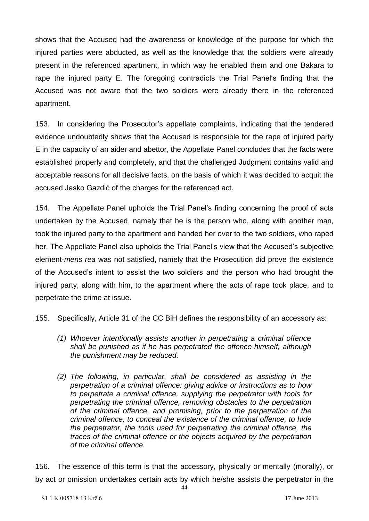shows that the Accused had the awareness or knowledge of the purpose for which the injured parties were abducted, as well as the knowledge that the soldiers were already present in the referenced apartment, in which way he enabled them and one Bakara to rape the injured party E. The foregoing contradicts the Trial Panel's finding that the Accused was not aware that the two soldiers were already there in the referenced apartment.

153. In considering the Prosecutor's appellate complaints, indicating that the tendered evidence undoubtedly shows that the Accused is responsible for the rape of injured party E in the capacity of an aider and abettor, the Appellate Panel concludes that the facts were established properly and completely, and that the challenged Judgment contains valid and acceptable reasons for all decisive facts, on the basis of which it was decided to acquit the accused Jasko Gazdić of the charges for the referenced act.

154. The Appellate Panel upholds the Trial Panel's finding concerning the proof of acts undertaken by the Accused, namely that he is the person who, along with another man, took the injured party to the apartment and handed her over to the two soldiers, who raped her. The Appellate Panel also upholds the Trial Panel's view that the Accused's subjective element-*mens rea* was not satisfied, namely that the Prosecution did prove the existence of the Accused's intent to assist the two soldiers and the person who had brought the injured party, along with him, to the apartment where the acts of rape took place, and to perpetrate the crime at issue.

155. Specifically, Article 31 of the CC BiH defines the responsibility of an accessory as:

- *(1) Whoever intentionally assists another in perpetrating a criminal offence shall be punished as if he has perpetrated the offence himself, although the punishment may be reduced.*
- *(2) The following, in particular, shall be considered as assisting in the perpetration of a criminal offence: giving advice or instructions as to how to perpetrate a criminal offence, supplying the perpetrator with tools for perpetrating the criminal offence, removing obstacles to the perpetration of the criminal offence, and promising, prior to the perpetration of the criminal offence, to conceal the existence of the criminal offence, to hide the perpetrator, the tools used for perpetrating the criminal offence, the traces of the criminal offence or the objects acquired by the perpetration of the criminal offence.*

156. The essence of this term is that the accessory, physically or mentally (morally), or by act or omission undertakes certain acts by which he/she assists the perpetrator in the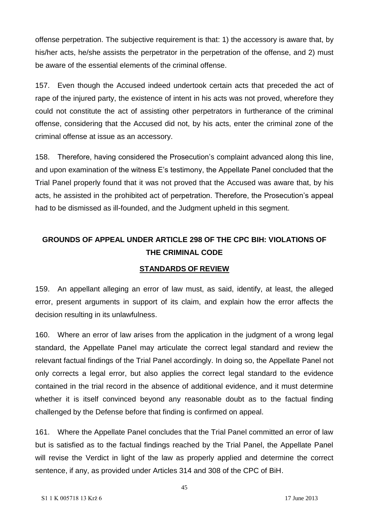offense perpetration. The subjective requirement is that: 1) the accessory is aware that, by his/her acts, he/she assists the perpetrator in the perpetration of the offense, and 2) must be aware of the essential elements of the criminal offense.

157. Even though the Accused indeed undertook certain acts that preceded the act of rape of the injured party, the existence of intent in his acts was not proved, wherefore they could not constitute the act of assisting other perpetrators in furtherance of the criminal offense, considering that the Accused did not, by his acts, enter the criminal zone of the criminal offense at issue as an accessory.

158. Therefore, having considered the Prosecution's complaint advanced along this line, and upon examination of the witness E's testimony, the Appellate Panel concluded that the Trial Panel properly found that it was not proved that the Accused was aware that, by his acts, he assisted in the prohibited act of perpetration. Therefore, the Prosecution's appeal had to be dismissed as ill-founded, and the Judgment upheld in this segment.

# **GROUNDS OF APPEAL UNDER ARTICLE 298 OF THE CPC BIH: VIOLATIONS OF THE CRIMINAL CODE**

#### **STANDARDS OF REVIEW**

159. An appellant alleging an error of law must, as said, identify, at least, the alleged error, present arguments in support of its claim, and explain how the error affects the decision resulting in its unlawfulness.

160. Where an error of law arises from the application in the judgment of a wrong legal standard, the Appellate Panel may articulate the correct legal standard and review the relevant factual findings of the Trial Panel accordingly. In doing so, the Appellate Panel not only corrects a legal error, but also applies the correct legal standard to the evidence contained in the trial record in the absence of additional evidence, and it must determine whether it is itself convinced beyond any reasonable doubt as to the factual finding challenged by the Defense before that finding is confirmed on appeal.

161. Where the Appellate Panel concludes that the Trial Panel committed an error of law but is satisfied as to the factual findings reached by the Trial Panel, the Appellate Panel will revise the Verdict in light of the law as properly applied and determine the correct sentence, if any, as provided under Articles 314 and 308 of the CPC of BiH.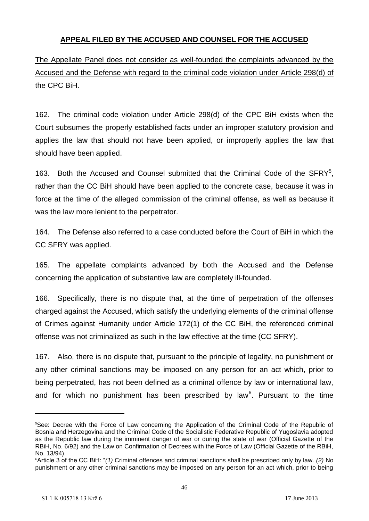### **APPEAL FILED BY THE ACCUSED AND COUNSEL FOR THE ACCUSED**

# The Appellate Panel does not consider as well-founded the complaints advanced by the Accused and the Defense with regard to the criminal code violation under Article 298(d) of the CPC BiH.

162. The criminal code violation under Article 298(d) of the CPC BiH exists when the Court subsumes the properly established facts under an improper statutory provision and applies the law that should not have been applied, or improperly applies the law that should have been applied.

163. Both the Accused and Counsel submitted that the Criminal Code of the SFRY<sup>5</sup>, rather than the CC BiH should have been applied to the concrete case, because it was in force at the time of the alleged commission of the criminal offense, as well as because it was the law more lenient to the perpetrator.

164. The Defense also referred to a case conducted before the Court of BiH in which the CC SFRY was applied.

165. The appellate complaints advanced by both the Accused and the Defense concerning the application of substantive law are completely ill-founded.

166. Specifically, there is no dispute that, at the time of perpetration of the offenses charged against the Accused, which satisfy the underlying elements of the criminal offense of Crimes against Humanity under Article 172(1) of the CC BiH, the referenced criminal offense was not criminalized as such in the law effective at the time (CC SFRY).

167. Also, there is no dispute that, pursuant to the principle of legality, no punishment or any other criminal sanctions may be imposed on any person for an act which, prior to being perpetrated, has not been defined as a criminal offence by law or international law, and for which no punishment has been prescribed by law<sup>6</sup>. Pursuant to the time

<sup>5</sup>See: Decree with the Force of Law concerning the Application of the Criminal Code of the Republic of Bosnia and Herzegovina and the Criminal Code of the Socialistic Federative Republic of Yugoslavia adopted as the Republic law during the imminent danger of war or during the state of war (Official Gazette of the RBiH, No. 6/92) and the Law on Confirmation of Decrees with the Force of Law (Official Gazette of the RBiH, No. 13/94).

<sup>6</sup>Article 3 of the CC BiH: "*(1)* Criminal offences and criminal sanctions shall be prescribed only by law*. (2)* No punishment or any other criminal sanctions may be imposed on any person for an act which, prior to being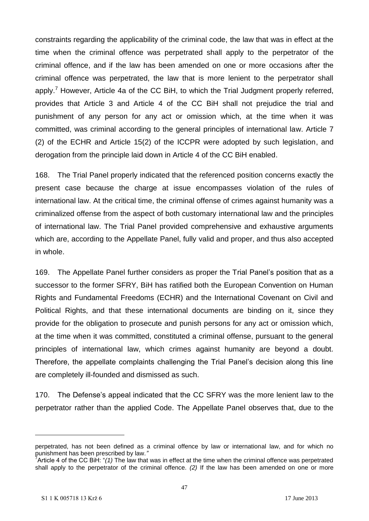constraints regarding the applicability of the criminal code, the law that was in effect at the time when the criminal offence was perpetrated shall apply to the perpetrator of the criminal offence, and if the law has been amended on one or more occasions after the criminal offence was perpetrated, the law that is more lenient to the perpetrator shall apply.<sup>7</sup> However, Article 4a of the CC BiH, to which the Trial Judgment properly referred, provides that Article 3 and Article 4 of the CC BiH shall not prejudice the trial and punishment of any person for any act or omission which, at the time when it was committed, was criminal according to the general principles of international law. Article 7 (2) of the ECHR and Article 15(2) of the ICCPR were adopted by such legislation, and derogation from the principle laid down in Article 4 of the CC BiH enabled.

168. The Trial Panel properly indicated that the referenced position concerns exactly the present case because the charge at issue encompasses violation of the rules of international law. At the critical time, the criminal offense of crimes against humanity was a criminalized offense from the aspect of both customary international law and the principles of international law. The Trial Panel provided comprehensive and exhaustive arguments which are, according to the Appellate Panel, fully valid and proper, and thus also accepted in whole.

169. The Appellate Panel further considers as proper the Trial Panel's position that as a successor to the former SFRY, BiH has ratified both the European Convention on Human Rights and Fundamental Freedoms (ECHR) and the International Covenant on Civil and Political Rights, and that these international documents are binding on it, since they provide for the obligation to prosecute and punish persons for any act or omission which, at the time when it was committed, constituted a criminal offense, pursuant to the general principles of international law, which crimes against humanity are beyond a doubt. Therefore, the appellate complaints challenging the Trial Panel's decision along this line are completely ill-founded and dismissed as such.

170. The Defense's appeal indicated that the CC SFRY was the more lenient law to the perpetrator rather than the applied Code. The Appellate Panel observes that, due to the

perpetrated, has not been defined as a criminal offence by law or international law, and for which no punishment has been prescribed by law*."*

<sup>&</sup>lt;sup>7</sup> Article 4 of the CC BiH: "(1) The law that was in effect at the time when the criminal offence was perpetrated shall apply to the perpetrator of the criminal offence*. (2)* If the law has been amended on one or more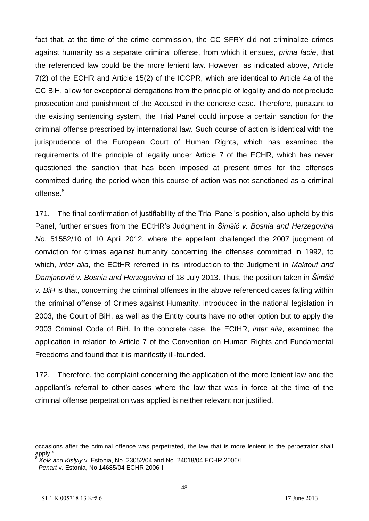fact that, at the time of the crime commission, the CC SFRY did not criminalize crimes against humanity as a separate criminal offense, from which it ensues, *prima facie*, that the referenced law could be the more lenient law. However, as indicated above, Article 7(2) of the ECHR and Article 15(2) of the ICCPR, which are identical to Article 4a of the CC BiH, allow for exceptional derogations from the principle of legality and do not preclude prosecution and punishment of the Accused in the concrete case. Therefore, pursuant to the existing sentencing system, the Trial Panel could impose a certain sanction for the criminal offense prescribed by international law. Such course of action is identical with the jurisprudence of the European Court of Human Rights, which has examined the requirements of the principle of legality under Article 7 of the ECHR, which has never questioned the sanction that has been imposed at present times for the offenses committed during the period when this course of action was not sanctioned as a criminal offense.<sup>8</sup>

171. The final confirmation of justifiability of the Trial Panel's position, also upheld by this Panel, further ensues from the ECtHR's Judgment in *Šimšić v. Bosnia and Herzegovina No*. 51552/10 of 10 April 2012, where the appellant challenged the 2007 judgment of conviction for crimes against humanity concerning the offenses committed in 1992, to which, *inter alia*, the ECtHR referred in its Introduction to the Judgment in *Maktouf and Damjanović v. Bosnia and Herzegovina* of 18 July 2013. Thus, the position taken in *Šimšić v. BiH* is that, concerning the criminal offenses in the above referenced cases falling within the criminal offense of Crimes against Humanity, introduced in the national legislation in 2003, the Court of BiH, as well as the Entity courts have no other option but to apply the 2003 Criminal Code of BiH. In the concrete case, the ECtHR, *inter alia*, examined the application in relation to Article 7 of the Convention on Human Rights and Fundamental Freedoms and found that it is manifestly ill-founded.

172. Therefore, the complaint concerning the application of the more lenient law and the appellant's referral to other cases where the law that was in force at the time of the criminal offense perpetration was applied is neither relevant nor justified.

occasions after the criminal offence was perpetrated, the law that is more lenient to the perpetrator shall apply*."* 

<sup>8</sup> *Kolk and Kislyiy* v. Estonia, No. 23052/04 and No. 24018/04 ECHR 2006/I. *Penart* v. Estonia, No 14685/04 ECHR 2006-I.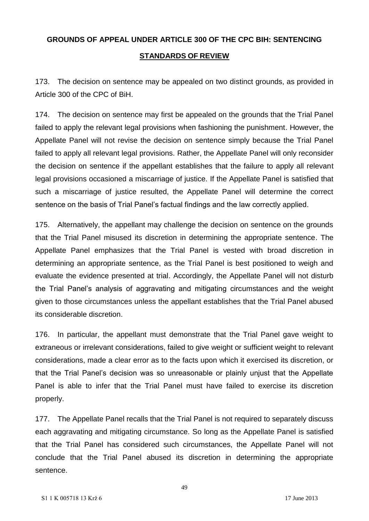# **GROUNDS OF APPEAL UNDER ARTICLE 300 OF THE CPC BIH: SENTENCING STANDARDS OF REVIEW**

173. The decision on sentence may be appealed on two distinct grounds, as provided in Article 300 of the CPC of BiH.

174. The decision on sentence may first be appealed on the grounds that the Trial Panel failed to apply the relevant legal provisions when fashioning the punishment. However, the Appellate Panel will not revise the decision on sentence simply because the Trial Panel failed to apply all relevant legal provisions. Rather, the Appellate Panel will only reconsider the decision on sentence if the appellant establishes that the failure to apply all relevant legal provisions occasioned a miscarriage of justice. If the Appellate Panel is satisfied that such a miscarriage of justice resulted, the Appellate Panel will determine the correct sentence on the basis of Trial Panel's factual findings and the law correctly applied.

175. Alternatively, the appellant may challenge the decision on sentence on the grounds that the Trial Panel misused its discretion in determining the appropriate sentence. The Appellate Panel emphasizes that the Trial Panel is vested with broad discretion in determining an appropriate sentence, as the Trial Panel is best positioned to weigh and evaluate the evidence presented at trial. Accordingly, the Appellate Panel will not disturb the Trial Panel's analysis of aggravating and mitigating circumstances and the weight given to those circumstances unless the appellant establishes that the Trial Panel abused its considerable discretion.

176. In particular, the appellant must demonstrate that the Trial Panel gave weight to extraneous or irrelevant considerations, failed to give weight or sufficient weight to relevant considerations, made a clear error as to the facts upon which it exercised its discretion, or that the Trial Panel's decision was so unreasonable or plainly unjust that the Appellate Panel is able to infer that the Trial Panel must have failed to exercise its discretion properly.

177. The Appellate Panel recalls that the Trial Panel is not required to separately discuss each aggravating and mitigating circumstance. So long as the Appellate Panel is satisfied that the Trial Panel has considered such circumstances, the Appellate Panel will not conclude that the Trial Panel abused its discretion in determining the appropriate sentence.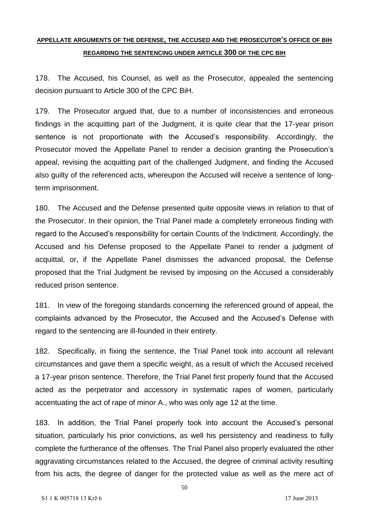### **APPELLATE ARGUMENTS OF THE DEFENSE, THE ACCUSED AND THE PROSECUTOR'S OFFICE OF BIH REGARDING THE SENTENCING UNDER ARTICLE 300 OF THE CPC BIH**

178. The Accused, his Counsel, as well as the Prosecutor, appealed the sentencing decision pursuant to Article 300 of the CPC BiH.

179. The Prosecutor argued that, due to a number of inconsistencies and erroneous findings in the acquitting part of the Judgment, it is quite clear that the 17-year prison sentence is not proportionate with the Accused's responsibility. Accordingly, the Prosecutor moved the Appellate Panel to render a decision granting the Prosecution's appeal, revising the acquitting part of the challenged Judgment, and finding the Accused also guilty of the referenced acts, whereupon the Accused will receive a sentence of longterm imprisonment.

180. The Accused and the Defense presented quite opposite views in relation to that of the Prosecutor. In their opinion, the Trial Panel made a completely erroneous finding with regard to the Accused's responsibility for certain Counts of the Indictment. Accordingly, the Accused and his Defense proposed to the Appellate Panel to render a judgment of acquittal, or, if the Appellate Panel dismisses the advanced proposal, the Defense proposed that the Trial Judgment be revised by imposing on the Accused a considerably reduced prison sentence.

181. In view of the foregoing standards concerning the referenced ground of appeal, the complaints advanced by the Prosecutor, the Accused and the Accused's Defense with regard to the sentencing are ill-founded in their entirety.

182. Specifically, in fixing the sentence, the Trial Panel took into account all relevant circumstances and gave them a specific weight, as a result of which the Accused received a 17-year prison sentence. Therefore, the Trial Panel first properly found that the Accused acted as the perpetrator and accessory in systematic rapes of women, particularly accentuating the act of rape of minor A., who was only age 12 at the time.

183. In addition, the Trial Panel properly took into account the Accused's personal situation, particularly his prior convictions, as well his persistency and readiness to fully complete the furtherance of the offenses. The Trial Panel also properly evaluated the other aggravating circumstances related to the Accused, the degree of criminal activity resulting from his acts, the degree of danger for the protected value as well as the mere act of